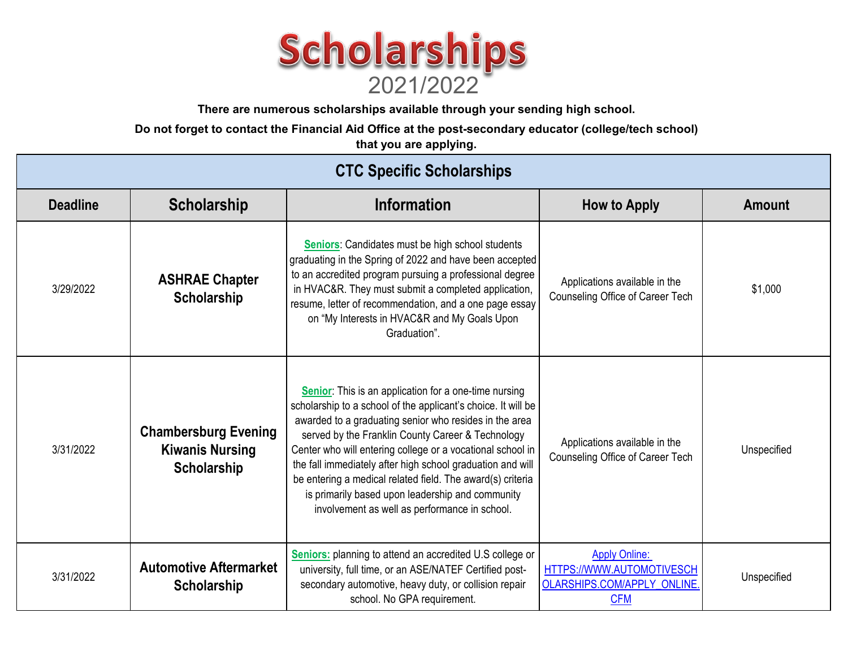

**There are numerous scholarships available through your sending high school.** 

**Do not forget to contact the Financial Aid Office at the post-secondary educator (college/tech school)** 

**that you are applying.** 

## **CTC Specific Scholarships**

| <b>Deadline</b> | <b>Scholarship</b>                                                   | <b>Information</b>                                                                                                                                                                                                                                                                                                                                                                                                                                                                                                                   | <b>How to Apply</b>                                                                                  | <b>Amount</b> |
|-----------------|----------------------------------------------------------------------|--------------------------------------------------------------------------------------------------------------------------------------------------------------------------------------------------------------------------------------------------------------------------------------------------------------------------------------------------------------------------------------------------------------------------------------------------------------------------------------------------------------------------------------|------------------------------------------------------------------------------------------------------|---------------|
| 3/29/2022       | <b>ASHRAE Chapter</b><br>Scholarship                                 | Seniors: Candidates must be high school students<br>graduating in the Spring of 2022 and have been accepted<br>to an accredited program pursuing a professional degree<br>in HVAC&R. They must submit a completed application,<br>resume, letter of recommendation, and a one page essay<br>on "My Interests in HVAC&R and My Goals Upon<br>Graduation".                                                                                                                                                                             | Applications available in the<br>Counseling Office of Career Tech                                    | \$1,000       |
| 3/31/2022       | <b>Chambersburg Evening</b><br><b>Kiwanis Nursing</b><br>Scholarship | Senior: This is an application for a one-time nursing<br>scholarship to a school of the applicant's choice. It will be<br>awarded to a graduating senior who resides in the area<br>served by the Franklin County Career & Technology<br>Center who will entering college or a vocational school in<br>the fall immediately after high school graduation and will<br>be entering a medical related field. The award(s) criteria<br>is primarily based upon leadership and community<br>involvement as well as performance in school. | Applications available in the<br>Counseling Office of Career Tech                                    | Unspecified   |
| 3/31/2022       | <b>Automotive Aftermarket</b><br><b>Scholarship</b>                  | <b>Seniors:</b> planning to attend an accredited U.S college or<br>university, full time, or an ASE/NATEF Certified post-<br>secondary automotive, heavy duty, or collision repair<br>school. No GPA requirement.                                                                                                                                                                                                                                                                                                                    | <b>Apply Online:</b><br>HTTPS://WWW.AUTOMOTIVESCH<br><b>OLARSHIPS.COM/APPLY ONLINE</b><br><b>CFM</b> | Unspecified   |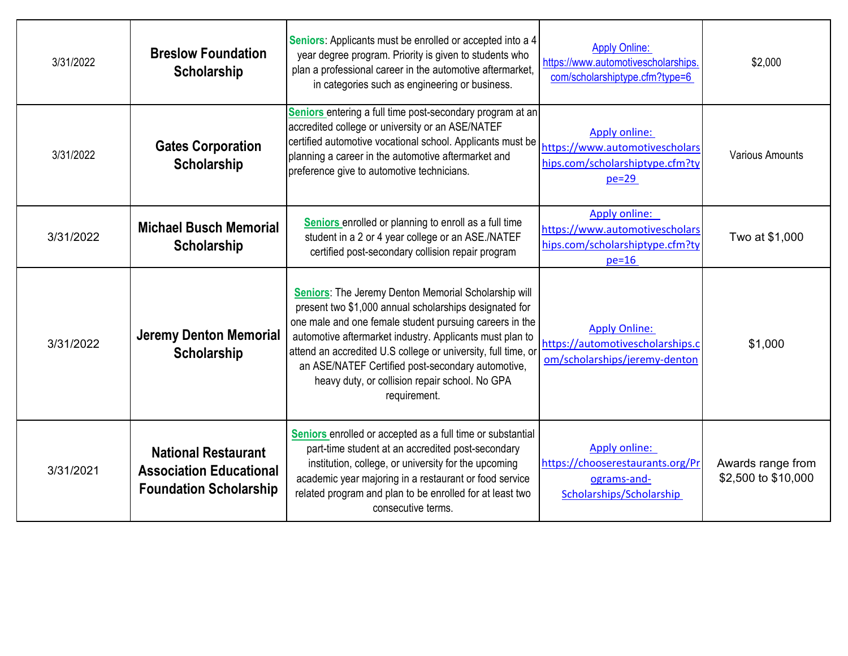| 3/31/2022 | <b>Breslow Foundation</b><br><b>Scholarship</b>                                               | Seniors: Applicants must be enrolled or accepted into a 4<br>year degree program. Priority is given to students who<br>plan a professional career in the automotive aftermarket,<br>in categories such as engineering or business.                                                                                                                                                                                            | <b>Apply Online:</b><br>https://www.automotivescholarships.<br>com/scholarshiptype.cfm?type=6        | \$2,000                                  |
|-----------|-----------------------------------------------------------------------------------------------|-------------------------------------------------------------------------------------------------------------------------------------------------------------------------------------------------------------------------------------------------------------------------------------------------------------------------------------------------------------------------------------------------------------------------------|------------------------------------------------------------------------------------------------------|------------------------------------------|
| 3/31/2022 | <b>Gates Corporation</b><br><b>Scholarship</b>                                                | Seniors entering a full time post-secondary program at an<br>accredited college or university or an ASE/NATEF<br>certified automotive vocational school. Applicants must be<br>planning a career in the automotive aftermarket and<br>preference give to automotive technicians.                                                                                                                                              | <b>Apply online:</b><br>https://www.automotivescholars<br>hips.com/scholarshiptype.cfm?ty<br>$pe=29$ | <b>Various Amounts</b>                   |
| 3/31/2022 | <b>Michael Busch Memorial</b><br><b>Scholarship</b>                                           | Seniors enrolled or planning to enroll as a full time<br>student in a 2 or 4 year college or an ASE./NATEF<br>certified post-secondary collision repair program                                                                                                                                                                                                                                                               | <b>Apply online:</b><br>https://www.automotivescholars<br>hips.com/scholarshiptype.cfm?ty<br>$pe=16$ | Two at \$1,000                           |
| 3/31/2022 | <b>Jeremy Denton Memorial</b><br><b>Scholarship</b>                                           | Seniors: The Jeremy Denton Memorial Scholarship will<br>present two \$1,000 annual scholarships designated for<br>one male and one female student pursuing careers in the<br>automotive aftermarket industry. Applicants must plan to<br>attend an accredited U.S college or university, full time, or<br>an ASE/NATEF Certified post-secondary automotive,<br>heavy duty, or collision repair school. No GPA<br>requirement. | <b>Apply Online:</b><br>https://automotivescholarships.c<br>om/scholarships/jeremy-denton            | \$1,000                                  |
| 3/31/2021 | <b>National Restaurant</b><br><b>Association Educational</b><br><b>Foundation Scholarship</b> | Seniors enrolled or accepted as a full time or substantial<br>part-time student at an accredited post-secondary<br>institution, college, or university for the upcoming<br>academic year majoring in a restaurant or food service<br>related program and plan to be enrolled for at least two<br>consecutive terms.                                                                                                           | <b>Apply online:</b><br>https://chooserestaurants.org/Pr<br>ograms-and-<br>Scholarships/Scholarship  | Awards range from<br>\$2,500 to \$10,000 |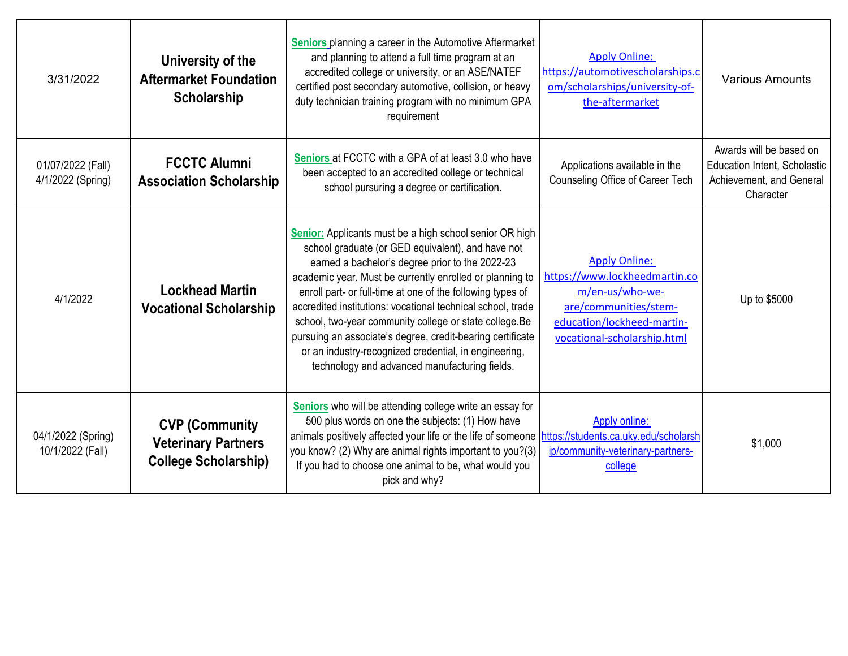| 3/31/2022                              | University of the<br><b>Aftermarket Foundation</b><br>Scholarship                   | <b>Seniors</b> planning a career in the Automotive Aftermarket<br>and planning to attend a full time program at an<br>accredited college or university, or an ASE/NATEF<br>certified post secondary automotive, collision, or heavy<br>duty technician training program with no minimum GPA<br>requirement                                                                                                                                                                                                                                                                                 | <b>Apply Online:</b><br>https://automotivescholarships.c<br>om/scholarships/university-of-<br>the-aftermarket                                                  | <b>Various Amounts</b>                                                                                  |
|----------------------------------------|-------------------------------------------------------------------------------------|--------------------------------------------------------------------------------------------------------------------------------------------------------------------------------------------------------------------------------------------------------------------------------------------------------------------------------------------------------------------------------------------------------------------------------------------------------------------------------------------------------------------------------------------------------------------------------------------|----------------------------------------------------------------------------------------------------------------------------------------------------------------|---------------------------------------------------------------------------------------------------------|
| 01/07/2022 (Fall)<br>4/1/2022 (Spring) | <b>FCCTC Alumni</b><br><b>Association Scholarship</b>                               | Seniors at FCCTC with a GPA of at least 3.0 who have<br>been accepted to an accredited college or technical<br>school pursuring a degree or certification.                                                                                                                                                                                                                                                                                                                                                                                                                                 | Applications available in the<br>Counseling Office of Career Tech                                                                                              | Awards will be based on<br><b>Education Intent, Scholastic</b><br>Achievement, and General<br>Character |
| 4/1/2022                               | <b>Lockhead Martin</b><br><b>Vocational Scholarship</b>                             | Senior: Applicants must be a high school senior OR high<br>school graduate (or GED equivalent), and have not<br>earned a bachelor's degree prior to the 2022-23<br>academic year. Must be currently enrolled or planning to<br>enroll part- or full-time at one of the following types of<br>accredited institutions: vocational technical school, trade<br>school, two-year community college or state college.Be<br>pursuing an associate's degree, credit-bearing certificate<br>or an industry-recognized credential, in engineering,<br>technology and advanced manufacturing fields. | <b>Apply Online:</b><br>https://www.lockheedmartin.co<br>m/en-us/who-we-<br>are/communities/stem-<br>education/lockheed-martin-<br>vocational-scholarship.html | Up to \$5000                                                                                            |
| 04/1/2022 (Spring)<br>10/1/2022 (Fall) | <b>CVP (Community)</b><br><b>Veterinary Partners</b><br><b>College Scholarship)</b> | Seniors who will be attending college write an essay for<br>500 plus words on one the subjects: (1) How have<br>animals positively affected your life or the life of someone https://students.ca.uky.edu/scholarsh<br>you know? (2) Why are animal rights important to you?(3)<br>If you had to choose one animal to be, what would you<br>pick and why?                                                                                                                                                                                                                                   | Apply online:<br>ip/community-veterinary-partners-<br>college                                                                                                  | \$1,000                                                                                                 |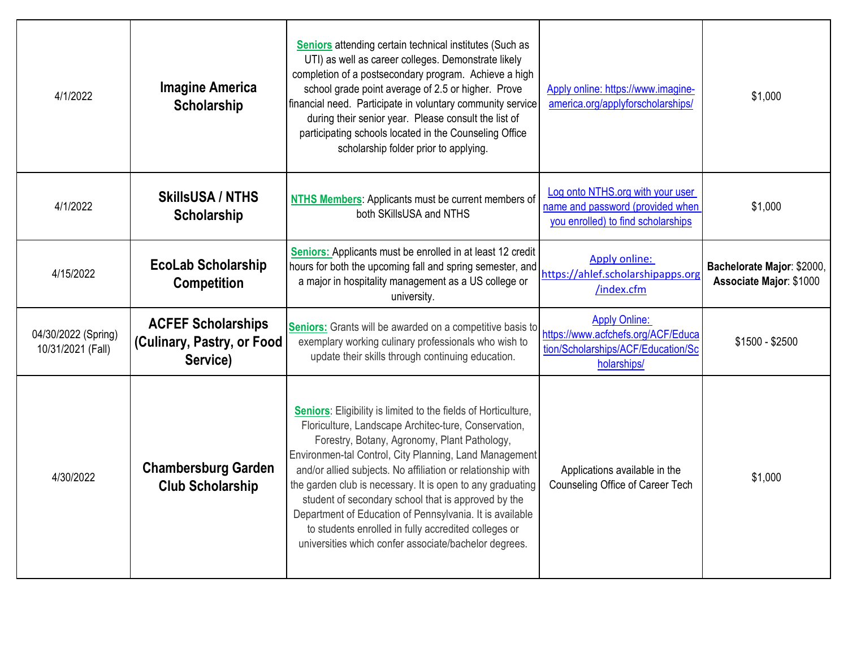| 4/1/2022                                 | <b>Imagine America</b><br><b>Scholarship</b>                        | <b>Seniors attending certain technical institutes (Such as</b><br>UTI) as well as career colleges. Demonstrate likely<br>completion of a postsecondary program. Achieve a high<br>school grade point average of 2.5 or higher. Prove<br>financial need. Participate in voluntary community service<br>during their senior year. Please consult the list of<br>participating schools located in the Counseling Office<br>scholarship folder prior to applying.                                                                                                                                            | Apply online: https://www.imagine-<br>america.org/applyforscholarships/                                         | \$1,000                                               |
|------------------------------------------|---------------------------------------------------------------------|----------------------------------------------------------------------------------------------------------------------------------------------------------------------------------------------------------------------------------------------------------------------------------------------------------------------------------------------------------------------------------------------------------------------------------------------------------------------------------------------------------------------------------------------------------------------------------------------------------|-----------------------------------------------------------------------------------------------------------------|-------------------------------------------------------|
| 4/1/2022                                 | <b>SkillsUSA / NTHS</b><br>Scholarship                              | NTHS Members: Applicants must be current members of<br>both SKillsUSA and NTHS                                                                                                                                                                                                                                                                                                                                                                                                                                                                                                                           | Log onto NTHS.org with your user<br>name and password (provided when<br>you enrolled) to find scholarships      | \$1,000                                               |
| 4/15/2022                                | <b>EcoLab Scholarship</b><br><b>Competition</b>                     | <b>Seniors:</b> Applicants must be enrolled in at least 12 credit<br>hours for both the upcoming fall and spring semester, and<br>a major in hospitality management as a US college or<br>university.                                                                                                                                                                                                                                                                                                                                                                                                    | <b>Apply online:</b><br>https://ahlef.scholarshipapps.org<br>/index.cfm                                         | Bachelorate Major: \$2000,<br>Associate Major: \$1000 |
| 04/30/2022 (Spring)<br>10/31/2021 (Fall) | <b>ACFEF Scholarships</b><br>(Culinary, Pastry, or Food<br>Service) | Seniors: Grants will be awarded on a competitive basis to<br>exemplary working culinary professionals who wish to<br>update their skills through continuing education.                                                                                                                                                                                                                                                                                                                                                                                                                                   | <b>Apply Online:</b><br>https://www.acfchefs.org/ACF/Educa<br>tion/Scholarships/ACF/Education/Sc<br>holarships/ | $$1500 - $2500$                                       |
| 4/30/2022                                | <b>Chambersburg Garden</b><br><b>Club Scholarship</b>               | <b>Seniors:</b> Eligibility is limited to the fields of Horticulture,<br>Floriculture, Landscape Architec-ture, Conservation,<br>Forestry, Botany, Agronomy, Plant Pathology,<br>Environmen-tal Control, City Planning, Land Management<br>and/or allied subjects. No affiliation or relationship with<br>the garden club is necessary. It is open to any graduating<br>student of secondary school that is approved by the<br>Department of Education of Pennsylvania. It is available<br>to students enrolled in fully accredited colleges or<br>universities which confer associate/bachelor degrees. | Applications available in the<br>Counseling Office of Career Tech                                               | \$1,000                                               |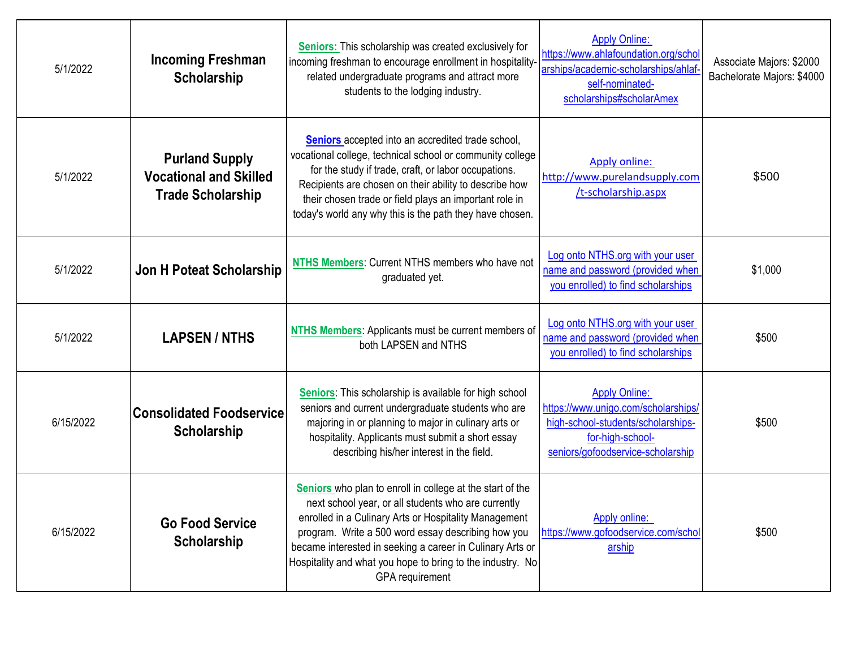| 5/1/2022  | <b>Incoming Freshman</b><br>Scholarship                                            | <b>Seniors:</b> This scholarship was created exclusively for<br>incoming freshman to encourage enrollment in hospitality-<br>related undergraduate programs and attract more<br>students to the lodging industry.                                                                                                                                                             | <b>Apply Online:</b><br>https://www.ahlafoundation.org/schol<br>arships/academic-scholarships/ahlaf<br>self-nominated-<br>scholarships#scholarAmex         | Associate Majors: \$2000<br>Bachelorate Majors: \$4000 |
|-----------|------------------------------------------------------------------------------------|-------------------------------------------------------------------------------------------------------------------------------------------------------------------------------------------------------------------------------------------------------------------------------------------------------------------------------------------------------------------------------|------------------------------------------------------------------------------------------------------------------------------------------------------------|--------------------------------------------------------|
| 5/1/2022  | <b>Purland Supply</b><br><b>Vocational and Skilled</b><br><b>Trade Scholarship</b> | Seniors accepted into an accredited trade school,<br>vocational college, technical school or community college<br>for the study if trade, craft, or labor occupations.<br>Recipients are chosen on their ability to describe how<br>their chosen trade or field plays an important role in<br>today's world any why this is the path they have chosen.                        | Apply online:<br>http://www.purelandsupply.com<br>/t-scholarship.aspx                                                                                      | \$500                                                  |
| 5/1/2022  | Jon H Poteat Scholarship                                                           | NTHS Members: Current NTHS members who have not<br>graduated yet.                                                                                                                                                                                                                                                                                                             | Log onto NTHS.org with your user<br>name and password (provided when<br>you enrolled) to find scholarships                                                 | \$1,000                                                |
| 5/1/2022  | <b>LAPSEN/NTHS</b>                                                                 | NTHS Members: Applicants must be current members of<br>both LAPSEN and NTHS                                                                                                                                                                                                                                                                                                   | Log onto NTHS.org with your user<br>name and password (provided when<br>you enrolled) to find scholarships                                                 | \$500                                                  |
| 6/15/2022 | <b>Consolidated Foodservice</b><br>Scholarship                                     | Seniors: This scholarship is available for high school<br>seniors and current undergraduate students who are<br>majoring in or planning to major in culinary arts or<br>hospitality. Applicants must submit a short essay<br>describing his/her interest in the field.                                                                                                        | <b>Apply Online:</b><br>https://www.unigo.com/scholarships/<br>high-school-students/scholarships-<br>for-high-school-<br>seniors/gofoodservice-scholarship | \$500                                                  |
| 6/15/2022 | <b>Go Food Service</b><br>Scholarship                                              | Seniors who plan to enroll in college at the start of the<br>next school year, or all students who are currently<br>enrolled in a Culinary Arts or Hospitality Management<br>program. Write a 500 word essay describing how you<br>became interested in seeking a career in Culinary Arts or<br>Hospitality and what you hope to bring to the industry. No<br>GPA requirement | Apply online:<br>https://www.gofoodservice.com/schol<br>arship                                                                                             | \$500                                                  |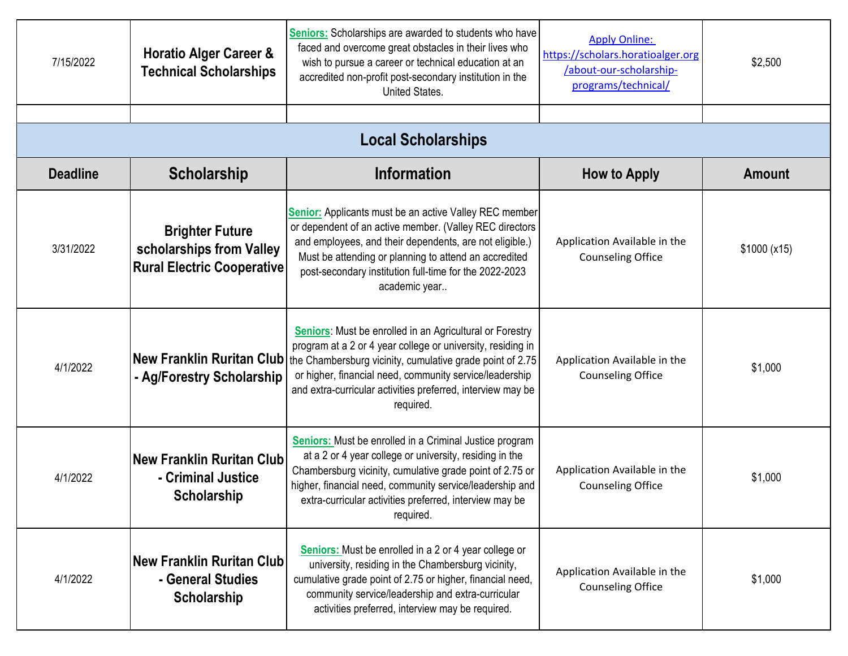| 7/15/2022       | <b>Horatio Alger Career &amp;</b><br><b>Technical Scholarships</b>                      | <b>Seniors:</b> Scholarships are awarded to students who have<br>faced and overcome great obstacles in their lives who<br>wish to pursue a career or technical education at an<br>accredited non-profit post-secondary institution in the<br>United States.                                                                 | <b>Apply Online:</b><br>https://scholars.horatioalger.org<br>/about-our-scholarship-<br>programs/technical/ | \$2,500       |  |
|-----------------|-----------------------------------------------------------------------------------------|-----------------------------------------------------------------------------------------------------------------------------------------------------------------------------------------------------------------------------------------------------------------------------------------------------------------------------|-------------------------------------------------------------------------------------------------------------|---------------|--|
|                 | <b>Local Scholarships</b>                                                               |                                                                                                                                                                                                                                                                                                                             |                                                                                                             |               |  |
| <b>Deadline</b> | <b>Scholarship</b>                                                                      | <b>Information</b>                                                                                                                                                                                                                                                                                                          | <b>How to Apply</b>                                                                                         | <b>Amount</b> |  |
| 3/31/2022       | <b>Brighter Future</b><br>scholarships from Valley<br><b>Rural Electric Cooperative</b> | Senior: Applicants must be an active Valley REC member<br>or dependent of an active member. (Valley REC directors<br>and employees, and their dependents, are not eligible.)<br>Must be attending or planning to attend an accredited<br>post-secondary institution full-time for the 2022-2023<br>academic year            | Application Available in the<br><b>Counseling Office</b>                                                    | \$1000 (x15)  |  |
| 4/1/2022        | <b>New Franklin Ruritan Club</b><br>- Ag/Forestry Scholarship                           | Seniors: Must be enrolled in an Agricultural or Forestry<br>program at a 2 or 4 year college or university, residing in<br>the Chambersburg vicinity, cumulative grade point of 2.75<br>or higher, financial need, community service/leadership<br>and extra-curricular activities preferred, interview may be<br>required. | Application Available in the<br><b>Counseling Office</b>                                                    | \$1,000       |  |
| 4/1/2022        | <b>New Franklin Ruritan Club</b><br>- Criminal Justice<br>Scholarship                   | Seniors: Must be enrolled in a Criminal Justice program<br>at a 2 or 4 year college or university, residing in the<br>Chambersburg vicinity, cumulative grade point of 2.75 or<br>higher, financial need, community service/leadership and<br>extra-curricular activities preferred, interview may be<br>required.          | Application Available in the<br><b>Counseling Office</b>                                                    | \$1,000       |  |
| 4/1/2022        | New Franklin Ruritan Club<br>- General Studies<br>Scholarship                           | <b>Seniors:</b> Must be enrolled in a 2 or 4 year college or<br>university, residing in the Chambersburg vicinity,<br>cumulative grade point of 2.75 or higher, financial need,<br>community service/leadership and extra-curricular<br>activities preferred, interview may be required.                                    | Application Available in the<br><b>Counseling Office</b>                                                    | \$1,000       |  |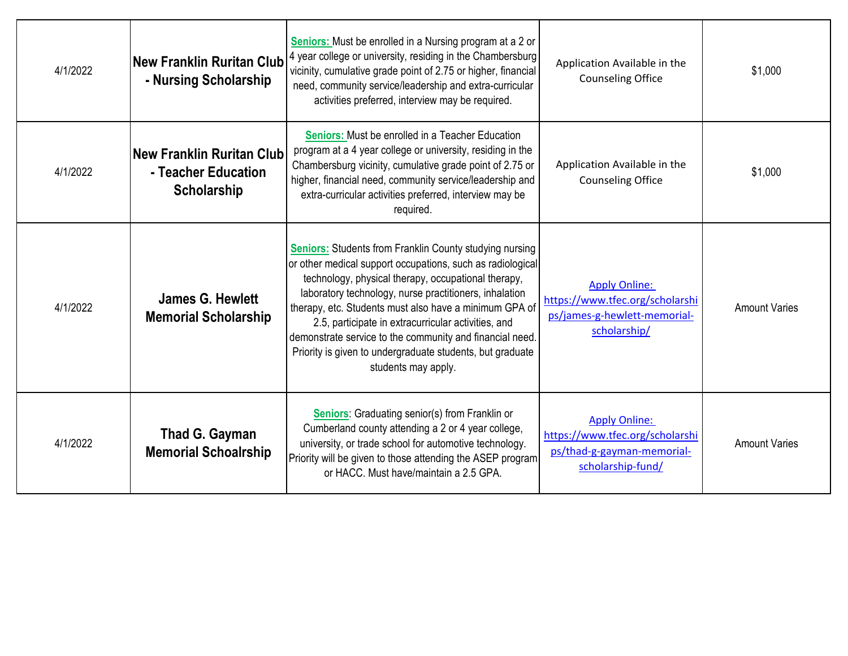| 4/1/2022 | <b>New Franklin Ruritan Club</b><br>- Nursing Scholarship              | <b>Seniors:</b> Must be enrolled in a Nursing program at a 2 or<br>4 year college or university, residing in the Chambersburg<br>vicinity, cumulative grade point of 2.75 or higher, financial<br>need, community service/leadership and extra-curricular<br>activities preferred, interview may be required.                                                                                                                                                                                                  | Application Available in the<br><b>Counseling Office</b>                                                   | \$1,000              |
|----------|------------------------------------------------------------------------|----------------------------------------------------------------------------------------------------------------------------------------------------------------------------------------------------------------------------------------------------------------------------------------------------------------------------------------------------------------------------------------------------------------------------------------------------------------------------------------------------------------|------------------------------------------------------------------------------------------------------------|----------------------|
| 4/1/2022 | <b>New Franklin Ruritan Club</b><br>- Teacher Education<br>Scholarship | <b>Seniors:</b> Must be enrolled in a Teacher Education<br>program at a 4 year college or university, residing in the<br>Chambersburg vicinity, cumulative grade point of 2.75 or<br>higher, financial need, community service/leadership and<br>extra-curricular activities preferred, interview may be<br>required.                                                                                                                                                                                          | Application Available in the<br><b>Counseling Office</b>                                                   | \$1,000              |
| 4/1/2022 | <b>James G. Hewlett</b><br><b>Memorial Scholarship</b>                 | <b>Seniors:</b> Students from Franklin County studying nursing<br>or other medical support occupations, such as radiological<br>technology, physical therapy, occupational therapy,<br>laboratory technology, nurse practitioners, inhalation<br>therapy, etc. Students must also have a minimum GPA of<br>2.5, participate in extracurricular activities, and<br>demonstrate service to the community and financial need.<br>Priority is given to undergraduate students, but graduate<br>students may apply. | <b>Apply Online:</b><br>https://www.tfec.org/scholarshi<br>ps/james-g-hewlett-memorial-<br>scholarship/    | <b>Amount Varies</b> |
| 4/1/2022 | Thad G. Gayman<br><b>Memorial Schoalrship</b>                          | <b>Seniors:</b> Graduating senior(s) from Franklin or<br>Cumberland county attending a 2 or 4 year college,<br>university, or trade school for automotive technology.<br>Priority will be given to those attending the ASEP program<br>or HACC. Must have/maintain a 2.5 GPA.                                                                                                                                                                                                                                  | <b>Apply Online:</b><br>https://www.tfec.org/scholarshi<br>ps/thad-g-gayman-memorial-<br>scholarship-fund/ | <b>Amount Varies</b> |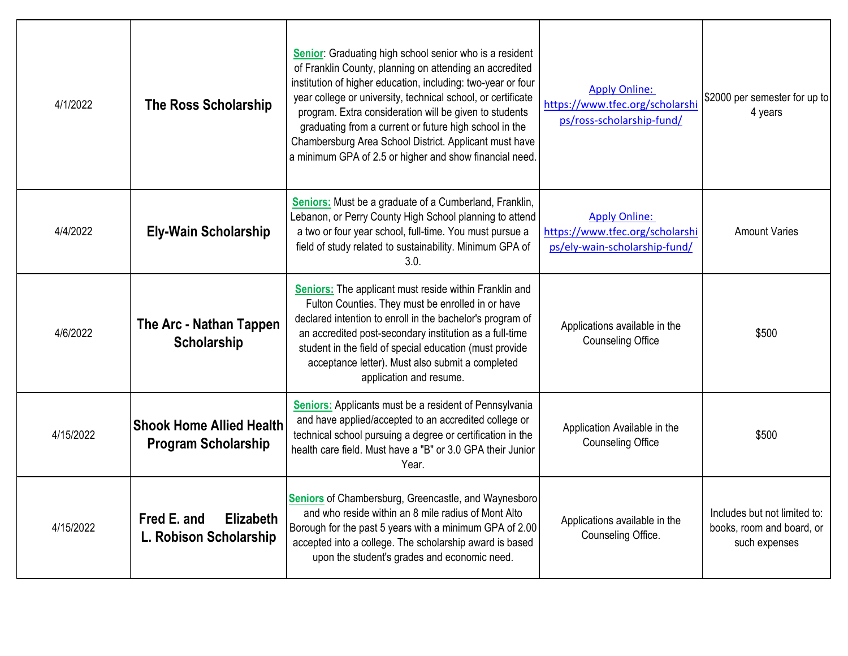| 4/1/2022  | <b>The Ross Scholarship</b>                                   | Senior: Graduating high school senior who is a resident<br>of Franklin County, planning on attending an accredited<br>institution of higher education, including: two-year or four<br>year college or university, technical school, or certificate<br>program. Extra consideration will be given to students<br>graduating from a current or future high school in the<br>Chambersburg Area School District. Applicant must have<br>a minimum GPA of 2.5 or higher and show financial need. | <b>Apply Online:</b><br>https://www.tfec.org/scholarshi<br>ps/ross-scholarship-fund/     | \$2000 per semester for up to<br>4 years                                   |
|-----------|---------------------------------------------------------------|---------------------------------------------------------------------------------------------------------------------------------------------------------------------------------------------------------------------------------------------------------------------------------------------------------------------------------------------------------------------------------------------------------------------------------------------------------------------------------------------|------------------------------------------------------------------------------------------|----------------------------------------------------------------------------|
| 4/4/2022  | <b>Ely-Wain Scholarship</b>                                   | <b>Seniors:</b> Must be a graduate of a Cumberland, Franklin,<br>Lebanon, or Perry County High School planning to attend<br>a two or four year school, full-time. You must pursue a<br>field of study related to sustainability. Minimum GPA of<br>3.0.                                                                                                                                                                                                                                     | <b>Apply Online:</b><br>https://www.tfec.org/scholarshi<br>ps/ely-wain-scholarship-fund/ | <b>Amount Varies</b>                                                       |
| 4/6/2022  | The Arc - Nathan Tappen<br><b>Scholarship</b>                 | <b>Seniors:</b> The applicant must reside within Franklin and<br>Fulton Counties. They must be enrolled in or have<br>declared intention to enroll in the bachelor's program of<br>an accredited post-secondary institution as a full-time<br>student in the field of special education (must provide<br>acceptance letter). Must also submit a completed<br>application and resume.                                                                                                        | Applications available in the<br><b>Counseling Office</b>                                | \$500                                                                      |
| 4/15/2022 | <b>Shook Home Allied Health</b><br><b>Program Scholarship</b> | <b>Seniors:</b> Applicants must be a resident of Pennsylvania<br>and have applied/accepted to an accredited college or<br>technical school pursuing a degree or certification in the<br>health care field. Must have a "B" or 3.0 GPA their Junior<br>Year.                                                                                                                                                                                                                                 | Application Available in the<br><b>Counseling Office</b>                                 | \$500                                                                      |
| 4/15/2022 | Fred E. and<br><b>Elizabeth</b><br>L. Robison Scholarship     | Seniors of Chambersburg, Greencastle, and Waynesboro<br>and who reside within an 8 mile radius of Mont Alto<br>Borough for the past 5 years with a minimum GPA of 2.00<br>accepted into a college. The scholarship award is based<br>upon the student's grades and economic need.                                                                                                                                                                                                           | Applications available in the<br>Counseling Office.                                      | Includes but not limited to:<br>books, room and board, or<br>such expenses |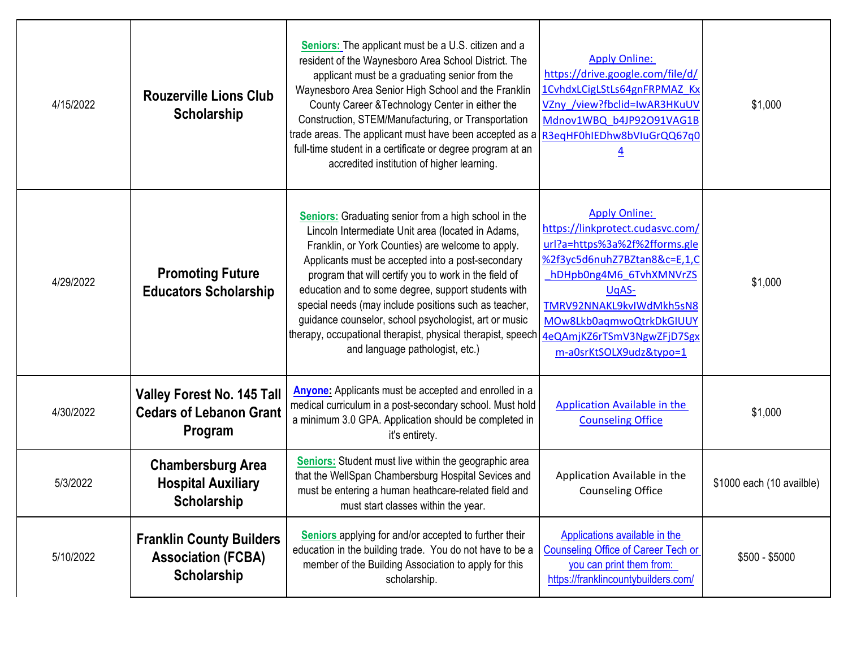| 4/15/2022 | <b>Rouzerville Lions Club</b><br>Scholarship                                   | Seniors: The applicant must be a U.S. citizen and a<br>resident of the Waynesboro Area School District. The<br>applicant must be a graduating senior from the<br>Waynesboro Area Senior High School and the Franklin<br>County Career & Technology Center in either the<br>Construction, STEM/Manufacturing, or Transportation<br>trade areas. The applicant must have been accepted as a R3eqHF0hIEDhw8bVIuGrQQ67q0<br>full-time student in a certificate or degree program at an<br>accredited institution of higher learning.                               | <b>Apply Online:</b><br>https://drive.google.com/file/d/<br>1CvhdxLCigLStLs64gnFRPMAZ Kx<br>VZny /view?fbclid=IwAR3HKuUV<br>Mdnov1WBQ b4JP92O91VAG1B<br>$\overline{4}$                                                                                                         | \$1,000                   |
|-----------|--------------------------------------------------------------------------------|----------------------------------------------------------------------------------------------------------------------------------------------------------------------------------------------------------------------------------------------------------------------------------------------------------------------------------------------------------------------------------------------------------------------------------------------------------------------------------------------------------------------------------------------------------------|--------------------------------------------------------------------------------------------------------------------------------------------------------------------------------------------------------------------------------------------------------------------------------|---------------------------|
| 4/29/2022 | <b>Promoting Future</b><br><b>Educators Scholarship</b>                        | <b>Seniors:</b> Graduating senior from a high school in the<br>Lincoln Intermediate Unit area (located in Adams,<br>Franklin, or York Counties) are welcome to apply.<br>Applicants must be accepted into a post-secondary<br>program that will certify you to work in the field of<br>education and to some degree, support students with<br>special needs (may include positions such as teacher,<br>guidance counselor, school psychologist, art or music<br>therapy, occupational therapist, physical therapist, speech<br>and language pathologist, etc.) | <b>Apply Online:</b><br>https://linkprotect.cudasvc.com/<br>url?a=https%3a%2f%2fforms.gle<br>%2f3yc5d6nuhZ7BZtan8&c=E,1,C<br>hDHpb0ng4M6 6TvhXMNVrZS<br>UqAS-<br>TMRV92NNAKL9kvIWdMkh5sN8<br>MOw8Lkb0aqmwoQtrkDkGIUUY<br>4eQAmjKZ6rTSmV3NgwZFjD7Sgx<br>m-a0srKtSOLX9udz&typo=1 | \$1,000                   |
| 4/30/2022 | <b>Valley Forest No. 145 Tall</b><br><b>Cedars of Lebanon Grant</b><br>Program | <b>Anyone:</b> Applicants must be accepted and enrolled in a<br>medical curriculum in a post-secondary school. Must hold<br>a minimum 3.0 GPA. Application should be completed in<br>it's entirety.                                                                                                                                                                                                                                                                                                                                                            | Application Available in the<br><b>Counseling Office</b>                                                                                                                                                                                                                       | \$1,000                   |
| 5/3/2022  | <b>Chambersburg Area</b><br><b>Hospital Auxiliary</b><br>Scholarship           | <b>Seniors:</b> Student must live within the geographic area<br>that the WellSpan Chambersburg Hospital Sevices and<br>must be entering a human heathcare-related field and<br>must start classes within the year.                                                                                                                                                                                                                                                                                                                                             | Application Available in the<br><b>Counseling Office</b>                                                                                                                                                                                                                       | \$1000 each (10 availble) |
| 5/10/2022 | <b>Franklin County Builders</b><br><b>Association (FCBA)</b><br>Scholarship    | Seniors applying for and/or accepted to further their<br>education in the building trade. You do not have to be a<br>member of the Building Association to apply for this<br>scholarship.                                                                                                                                                                                                                                                                                                                                                                      | Applications available in the<br><b>Counseling Office of Career Tech or</b><br>you can print them from:<br>https://franklincountybuilders.com/                                                                                                                                 | $$500 - $5000$            |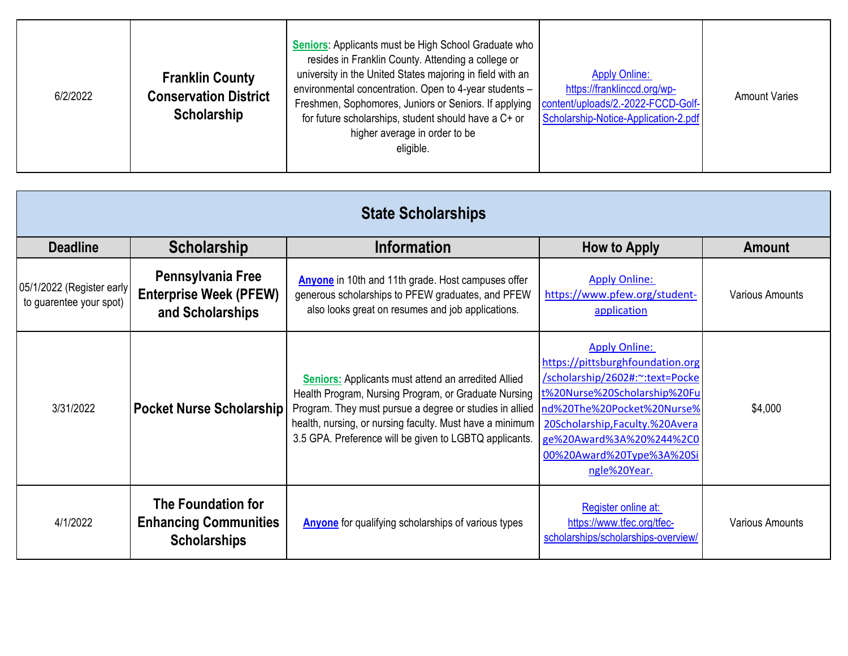| 6/2/2022 | <b>Franklin County</b><br><b>Conservation District</b><br>Scholarship | Seniors: Applicants must be High School Graduate who<br>resides in Franklin County. Attending a college or<br>university in the United States majoring in field with an<br>environmental concentration. Open to 4-year students -<br>Freshmen, Sophomores, Juniors or Seniors. If applying   content/uploads/2.-2022-FCCD-Golf-<br>for future scholarships, student should have a C+ or<br>higher average in order to be<br>eligible. | <b>Apply Online:</b><br>https://franklinccd.org/wp-<br>Scholarship-Notice-Application-2.pdf | <b>Amount Varies</b> |
|----------|-----------------------------------------------------------------------|---------------------------------------------------------------------------------------------------------------------------------------------------------------------------------------------------------------------------------------------------------------------------------------------------------------------------------------------------------------------------------------------------------------------------------------|---------------------------------------------------------------------------------------------|----------------------|
|----------|-----------------------------------------------------------------------|---------------------------------------------------------------------------------------------------------------------------------------------------------------------------------------------------------------------------------------------------------------------------------------------------------------------------------------------------------------------------------------------------------------------------------------|---------------------------------------------------------------------------------------------|----------------------|

| <b>State Scholarships</b>                            |                                                                                  |                                                                                                                                                                                                                                                                                                     |                                                                                                                                                                                                                                                                        |                        |
|------------------------------------------------------|----------------------------------------------------------------------------------|-----------------------------------------------------------------------------------------------------------------------------------------------------------------------------------------------------------------------------------------------------------------------------------------------------|------------------------------------------------------------------------------------------------------------------------------------------------------------------------------------------------------------------------------------------------------------------------|------------------------|
| <b>Deadline</b>                                      | <b>Scholarship</b>                                                               | <b>Information</b>                                                                                                                                                                                                                                                                                  | <b>How to Apply</b>                                                                                                                                                                                                                                                    | <b>Amount</b>          |
| 05/1/2022 (Register early<br>to guarentee your spot) | Pennsylvania Free<br><b>Enterprise Week (PFEW)</b><br>and Scholarships           | Anyone in 10th and 11th grade. Host campuses offer<br>generous scholarships to PFEW graduates, and PFEW<br>also looks great on resumes and job applications.                                                                                                                                        | <b>Apply Online:</b><br>https://www.pfew.org/student-<br>application                                                                                                                                                                                                   | <b>Various Amounts</b> |
| 3/31/2022                                            | <b>Pocket Nurse Scholarship</b>                                                  | <b>Seniors:</b> Applicants must attend an arredited Allied<br>Health Program, Nursing Program, or Graduate Nursing<br>Program. They must pursue a degree or studies in allied<br>health, nursing, or nursing faculty. Must have a minimum<br>3.5 GPA. Preference will be given to LGBTQ applicants. | <b>Apply Online:</b><br>https://pittsburghfoundation.org<br>/scholarship/2602#:~: text=Pocke<br>t%20Nurse%20Scholarship%20Fu<br>nd%20The%20Pocket%20Nurse%<br>20Scholarship, Faculty.%20Avera<br>ge%20Award%3A%20%244%2C0<br>00%20Award%20Type%3A%20Si<br>ngle%20Year. | \$4,000                |
| 4/1/2022                                             | <b>The Foundation for</b><br><b>Enhancing Communities</b><br><b>Scholarships</b> | <b>Anyone</b> for qualifying scholarships of various types                                                                                                                                                                                                                                          | Register online at:<br>https://www.tfec.org/tfec-<br>scholarships/scholarships-overview/                                                                                                                                                                               | <b>Various Amounts</b> |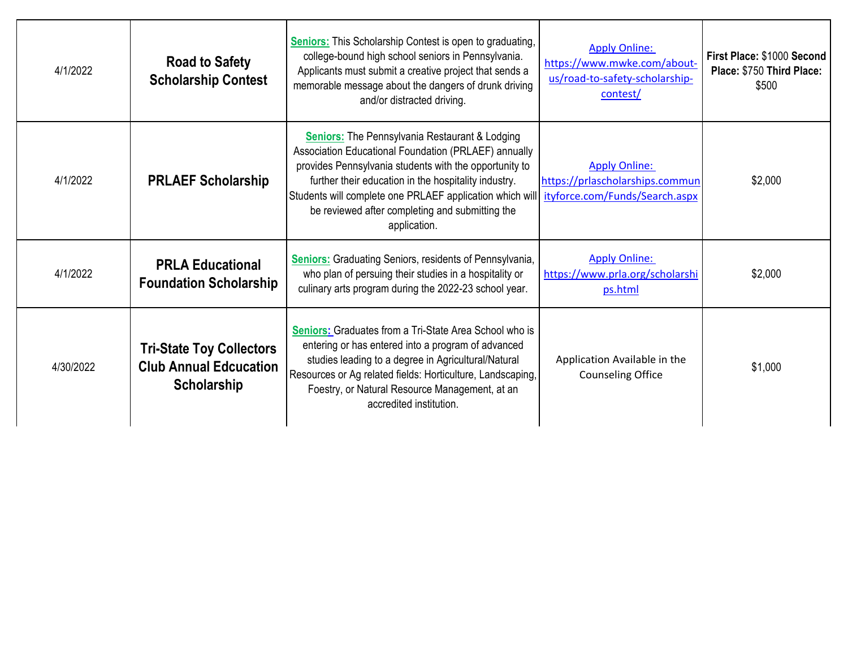| 4/1/2022  | <b>Road to Safety</b><br><b>Scholarship Contest</b>                             | <b>Seniors:</b> This Scholarship Contest is open to graduating,<br>college-bound high school seniors in Pennsylvania.<br>Applicants must submit a creative project that sends a<br>memorable message about the dangers of drunk driving<br>and/or distracted driving.                                                                                                                         | <b>Apply Online:</b><br>https://www.mwke.com/about-<br>us/road-to-safety-scholarship-<br>contest/ | First Place: \$1000 Second<br>Place: \$750 Third Place:<br>\$500 |
|-----------|---------------------------------------------------------------------------------|-----------------------------------------------------------------------------------------------------------------------------------------------------------------------------------------------------------------------------------------------------------------------------------------------------------------------------------------------------------------------------------------------|---------------------------------------------------------------------------------------------------|------------------------------------------------------------------|
| 4/1/2022  | <b>PRLAEF Scholarship</b>                                                       | <b>Seniors:</b> The Pennsylvania Restaurant & Lodging<br>Association Educational Foundation (PRLAEF) annually<br>provides Pennsylvania students with the opportunity to<br>further their education in the hospitality industry.<br>Students will complete one PRLAEF application which will ityforce.com/Funds/Search.aspx<br>be reviewed after completing and submitting the<br>application. | <b>Apply Online:</b><br>https://prlascholarships.commun                                           | \$2,000                                                          |
| 4/1/2022  | <b>PRLA Educational</b><br><b>Foundation Scholarship</b>                        | <b>Seniors:</b> Graduating Seniors, residents of Pennsylvania,<br>who plan of persuing their studies in a hospitality or<br>culinary arts program during the 2022-23 school year.                                                                                                                                                                                                             | <b>Apply Online:</b><br>https://www.prla.org/scholarshi<br>ps.html                                | \$2,000                                                          |
| 4/30/2022 | <b>Tri-State Toy Collectors</b><br><b>Club Annual Edcucation</b><br>Scholarship | <b>Seniors:</b> Graduates from a Tri-State Area School who is<br>entering or has entered into a program of advanced<br>studies leading to a degree in Agricultural/Natural<br>Resources or Ag related fields: Horticulture, Landscaping,<br>Foestry, or Natural Resource Management, at an<br>accredited institution.                                                                         | Application Available in the<br><b>Counseling Office</b>                                          | \$1,000                                                          |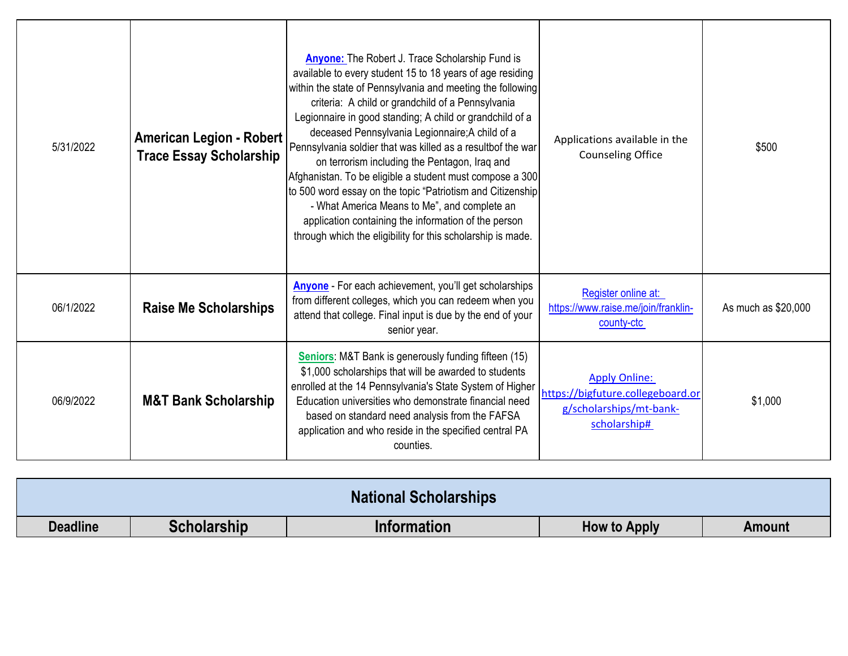| 5/31/2022 | <b>American Legion - Robert</b><br><b>Trace Essay Scholarship</b> | <b>Anyone:</b> The Robert J. Trace Scholarship Fund is<br>available to every student 15 to 18 years of age residing<br>within the state of Pennsylvania and meeting the following<br>criteria: A child or grandchild of a Pennsylvania<br>Legionnaire in good standing; A child or grandchild of a<br>deceased Pennsylvania Legionnaire; A child of a<br>Pennsylvania soldier that was killed as a resultbof the war<br>on terrorism including the Pentagon, Iraq and<br>Afghanistan. To be eligible a student must compose a 300<br>to 500 word essay on the topic "Patriotism and Citizenship<br>- What America Means to Me", and complete an<br>application containing the information of the person<br>through which the eligibility for this scholarship is made. | Applications available in the<br><b>Counseling Office</b>                                            | \$500               |
|-----------|-------------------------------------------------------------------|------------------------------------------------------------------------------------------------------------------------------------------------------------------------------------------------------------------------------------------------------------------------------------------------------------------------------------------------------------------------------------------------------------------------------------------------------------------------------------------------------------------------------------------------------------------------------------------------------------------------------------------------------------------------------------------------------------------------------------------------------------------------|------------------------------------------------------------------------------------------------------|---------------------|
| 06/1/2022 | <b>Raise Me Scholarships</b>                                      | <b>Anyone</b> - For each achievement, you'll get scholarships<br>from different colleges, which you can redeem when you<br>attend that college. Final input is due by the end of your<br>senior year.                                                                                                                                                                                                                                                                                                                                                                                                                                                                                                                                                                  | Register online at:<br>https://www.raise.me/join/franklin-<br>county-ctc                             | As much as \$20,000 |
| 06/9/2022 | <b>M&amp;T Bank Scholarship</b>                                   | <b>Seniors:</b> M&T Bank is generously funding fifteen (15)<br>\$1,000 scholarships that will be awarded to students<br>enrolled at the 14 Pennsylvania's State System of Higher<br>Education universities who demonstrate financial need<br>based on standard need analysis from the FAFSA<br>application and who reside in the specified central PA<br>counties.                                                                                                                                                                                                                                                                                                                                                                                                     | <b>Apply Online:</b><br>https://bigfuture.collegeboard.or<br>g/scholarships/mt-bank-<br>scholarship# | \$1,000             |

| <b>National Scholarships</b> |                    |                    |                     |               |
|------------------------------|--------------------|--------------------|---------------------|---------------|
| <b>Deadline</b>              | <b>Scholarship</b> | <b>Information</b> | <b>How to Apply</b> | <b>Amount</b> |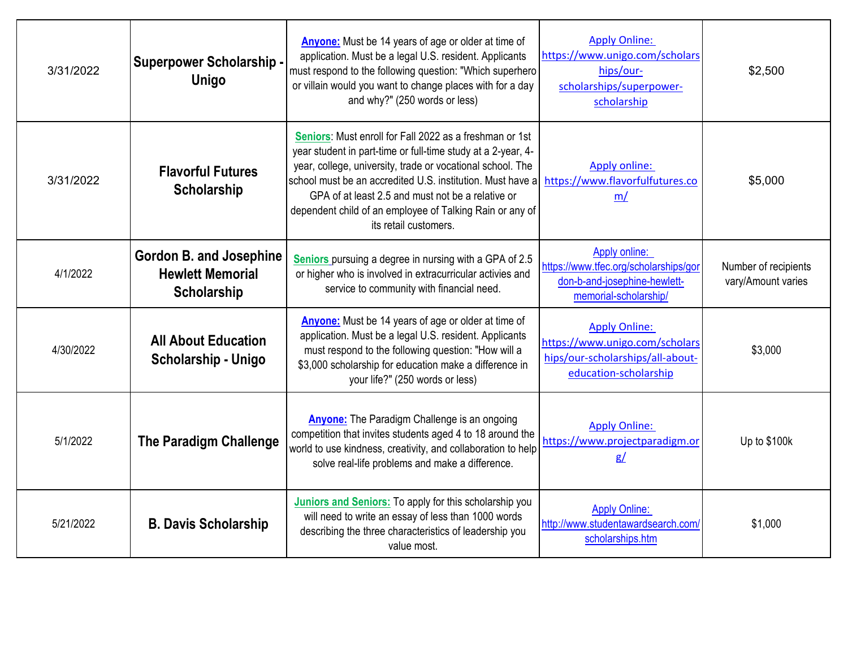| 3/31/2022 | <b>Superpower Scholarship -</b><br><b>Unigo</b>                                 | Anyone: Must be 14 years of age or older at time of<br>application. Must be a legal U.S. resident. Applicants<br>must respond to the following question: "Which superhero<br>or villain would you want to change places with for a day<br>and why?" (250 words or less)                                                                                                                       | <b>Apply Online:</b><br>https://www.unigo.com/scholars<br>hips/our-<br>scholarships/superpower-<br>scholarship      | \$2,500                                    |
|-----------|---------------------------------------------------------------------------------|-----------------------------------------------------------------------------------------------------------------------------------------------------------------------------------------------------------------------------------------------------------------------------------------------------------------------------------------------------------------------------------------------|---------------------------------------------------------------------------------------------------------------------|--------------------------------------------|
| 3/31/2022 | <b>Flavorful Futures</b><br><b>Scholarship</b>                                  | Seniors: Must enroll for Fall 2022 as a freshman or 1st<br>year student in part-time or full-time study at a 2-year, 4-<br>year, college, university, trade or vocational school. The<br>school must be an accredited U.S. institution. Must have a<br>GPA of at least 2.5 and must not be a relative or<br>dependent child of an employee of Talking Rain or any of<br>its retail customers. | Apply online:<br>https://www.flavorfulfutures.co<br>m/                                                              | \$5,000                                    |
| 4/1/2022  | <b>Gordon B. and Josephine</b><br><b>Hewlett Memorial</b><br><b>Scholarship</b> | Seniors pursuing a degree in nursing with a GPA of 2.5<br>or higher who is involved in extracurricular activies and<br>service to community with financial need.                                                                                                                                                                                                                              | Apply online:<br>https://www.tfec.org/scholarships/gor<br>don-b-and-josephine-hewlett-<br>memorial-scholarship/     | Number of recipients<br>vary/Amount varies |
| 4/30/2022 | <b>All About Education</b><br>Scholarship - Unigo                               | <b>Anyone:</b> Must be 14 years of age or older at time of<br>application. Must be a legal U.S. resident. Applicants<br>must respond to the following question: "How will a<br>\$3,000 scholarship for education make a difference in<br>your life?" (250 words or less)                                                                                                                      | <b>Apply Online:</b><br>https://www.unigo.com/scholars<br>hips/our-scholarships/all-about-<br>education-scholarship | \$3,000                                    |
| 5/1/2022  | <b>The Paradigm Challenge</b>                                                   | <b>Anyone:</b> The Paradigm Challenge is an ongoing<br>competition that invites students aged 4 to 18 around the<br>world to use kindness, creativity, and collaboration to help<br>solve real-life problems and make a difference.                                                                                                                                                           | <b>Apply Online:</b><br>https://www.projectparadigm.or<br>g/                                                        | Up to \$100k                               |
| 5/21/2022 | <b>B. Davis Scholarship</b>                                                     | Juniors and Seniors: To apply for this scholarship you<br>will need to write an essay of less than 1000 words<br>describing the three characteristics of leadership you<br>value most.                                                                                                                                                                                                        | <b>Apply Online:</b><br>http://www.studentawardsearch.com/<br>scholarships.htm                                      | \$1,000                                    |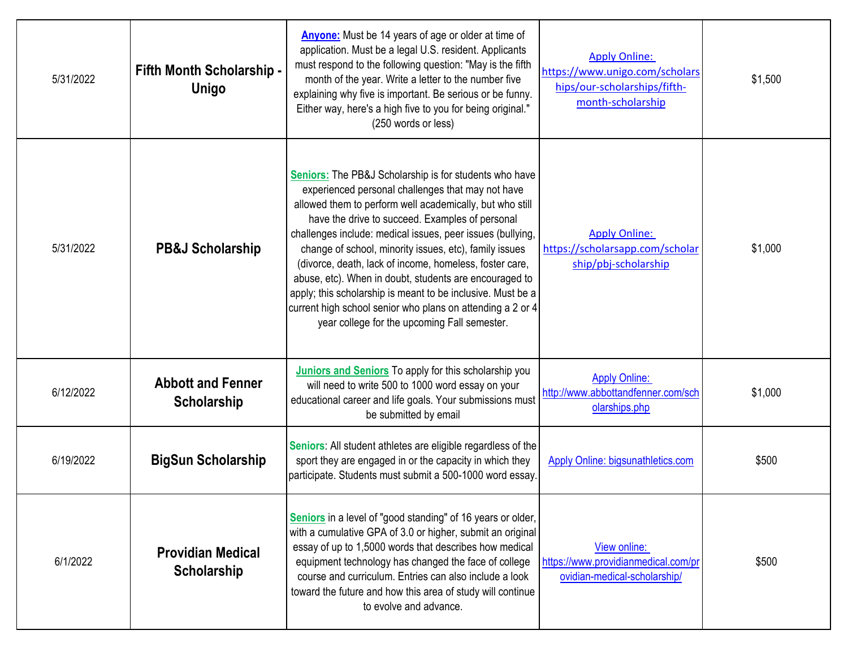| 5/31/2022 | <b>Fifth Month Scholarship -</b><br><b>Unigo</b> | <b>Anyone:</b> Must be 14 years of age or older at time of<br>application. Must be a legal U.S. resident. Applicants<br>must respond to the following question: "May is the fifth<br>month of the year. Write a letter to the number five<br>explaining why five is important. Be serious or be funny.<br>Either way, here's a high five to you for being original."<br>(250 words or less)                                                                                                                                                                                                                                                                 | <b>Apply Online:</b><br>https://www.unigo.com/scholars<br>hips/our-scholarships/fifth-<br>month-scholarship | \$1,500 |
|-----------|--------------------------------------------------|-------------------------------------------------------------------------------------------------------------------------------------------------------------------------------------------------------------------------------------------------------------------------------------------------------------------------------------------------------------------------------------------------------------------------------------------------------------------------------------------------------------------------------------------------------------------------------------------------------------------------------------------------------------|-------------------------------------------------------------------------------------------------------------|---------|
| 5/31/2022 | <b>PB&amp;J Scholarship</b>                      | <b>Seniors:</b> The PB&J Scholarship is for students who have<br>experienced personal challenges that may not have<br>allowed them to perform well academically, but who still<br>have the drive to succeed. Examples of personal<br>challenges include: medical issues, peer issues (bullying,<br>change of school, minority issues, etc), family issues<br>(divorce, death, lack of income, homeless, foster care,<br>abuse, etc). When in doubt, students are encouraged to<br>apply; this scholarship is meant to be inclusive. Must be a<br>current high school senior who plans on attending a 2 or 4<br>year college for the upcoming Fall semester. | <b>Apply Online:</b><br>https://scholarsapp.com/scholar<br>ship/pbj-scholarship                             | \$1,000 |
| 6/12/2022 | <b>Abbott and Fenner</b><br>Scholarship          | <b>Juniors and Seniors</b> To apply for this scholarship you<br>will need to write 500 to 1000 word essay on your<br>educational career and life goals. Your submissions must<br>be submitted by email                                                                                                                                                                                                                                                                                                                                                                                                                                                      | <b>Apply Online:</b><br>http://www.abbottandfenner.com/sch<br>olarships.php                                 | \$1,000 |
| 6/19/2022 | <b>BigSun Scholarship</b>                        | Seniors: All student athletes are eligible regardless of the<br>sport they are engaged in or the capacity in which they<br>participate. Students must submit a 500-1000 word essay.                                                                                                                                                                                                                                                                                                                                                                                                                                                                         | Apply Online: bigsunathletics.com                                                                           | \$500   |
| 6/1/2022  | <b>Providian Medical</b><br>Scholarship          | Seniors in a level of "good standing" of 16 years or older,<br>with a cumulative GPA of 3.0 or higher, submit an original<br>essay of up to 1,5000 words that describes how medical<br>equipment technology has changed the face of college<br>course and curriculum. Entries can also include a look<br>toward the future and how this area of study will continue<br>to evolve and advance.                                                                                                                                                                                                                                                               | View online:<br>https://www.providianmedical.com/pr<br>ovidian-medical-scholarship/                         | \$500   |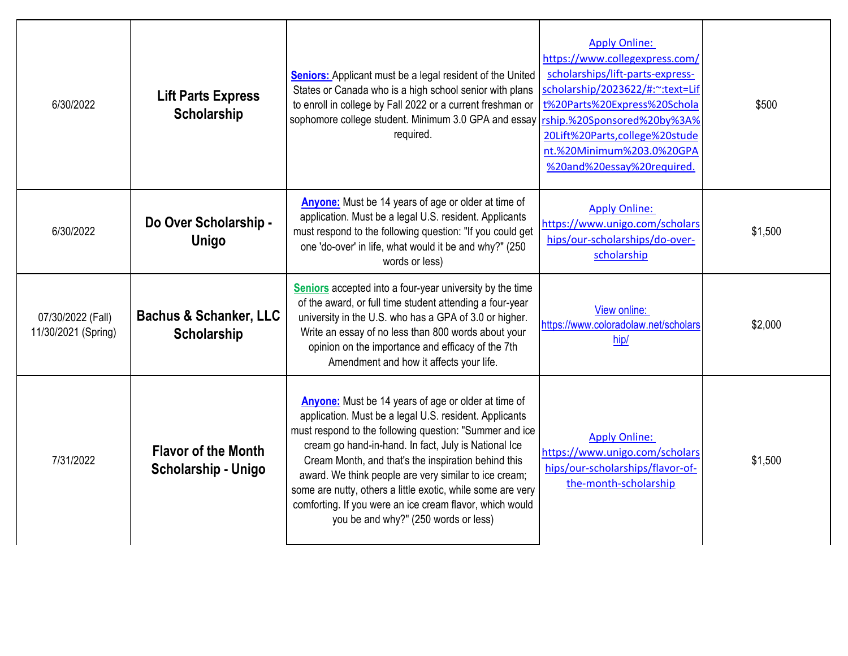| 6/30/2022                                | <b>Lift Parts Express</b><br><b>Scholarship</b>         | <b>Seniors:</b> Applicant must be a legal resident of the United<br>States or Canada who is a high school senior with plans<br>to enroll in college by Fall 2022 or a current freshman or<br>sophomore college student. Minimum 3.0 GPA and essay<br>required.                                                                                                                                                                                                                                                      | <b>Apply Online:</b><br>https://www.collegexpress.com/<br>scholarships/lift-parts-express-<br>scholarship/2023622/#:~: text=Lif<br>t%20Parts%20Express%20Schola<br>rship.%20Sponsored%20by%3A%<br>20Lift%20Parts,college%20stude<br>nt.%20Minimum%203.0%20GPA<br>%20and%20essay%20required. | \$500   |
|------------------------------------------|---------------------------------------------------------|---------------------------------------------------------------------------------------------------------------------------------------------------------------------------------------------------------------------------------------------------------------------------------------------------------------------------------------------------------------------------------------------------------------------------------------------------------------------------------------------------------------------|---------------------------------------------------------------------------------------------------------------------------------------------------------------------------------------------------------------------------------------------------------------------------------------------|---------|
| 6/30/2022                                | Do Over Scholarship -<br><b>Unigo</b>                   | <b>Anyone:</b> Must be 14 years of age or older at time of<br>application. Must be a legal U.S. resident. Applicants<br>must respond to the following question: "If you could get<br>one 'do-over' in life, what would it be and why?" (250<br>words or less)                                                                                                                                                                                                                                                       | <b>Apply Online:</b><br>https://www.unigo.com/scholars<br>hips/our-scholarships/do-over-<br>scholarship                                                                                                                                                                                     | \$1,500 |
| 07/30/2022 (Fall)<br>11/30/2021 (Spring) | <b>Bachus &amp; Schanker, LLC</b><br><b>Scholarship</b> | Seniors accepted into a four-year university by the time<br>of the award, or full time student attending a four-year<br>university in the U.S. who has a GPA of 3.0 or higher.<br>Write an essay of no less than 800 words about your<br>opinion on the importance and efficacy of the 7th<br>Amendment and how it affects your life.                                                                                                                                                                               | View online:<br>https://www.coloradolaw.net/scholars<br>hip/                                                                                                                                                                                                                                | \$2,000 |
| 7/31/2022                                | <b>Flavor of the Month</b><br>Scholarship - Unigo       | Anyone: Must be 14 years of age or older at time of<br>application. Must be a legal U.S. resident. Applicants<br>must respond to the following question: "Summer and ice<br>cream go hand-in-hand. In fact, July is National Ice<br>Cream Month, and that's the inspiration behind this<br>award. We think people are very similar to ice cream;<br>some are nutty, others a little exotic, while some are very<br>comforting. If you were an ice cream flavor, which would<br>you be and why?" (250 words or less) | <b>Apply Online:</b><br>https://www.unigo.com/scholars<br>hips/our-scholarships/flavor-of-<br>the-month-scholarship                                                                                                                                                                         | \$1,500 |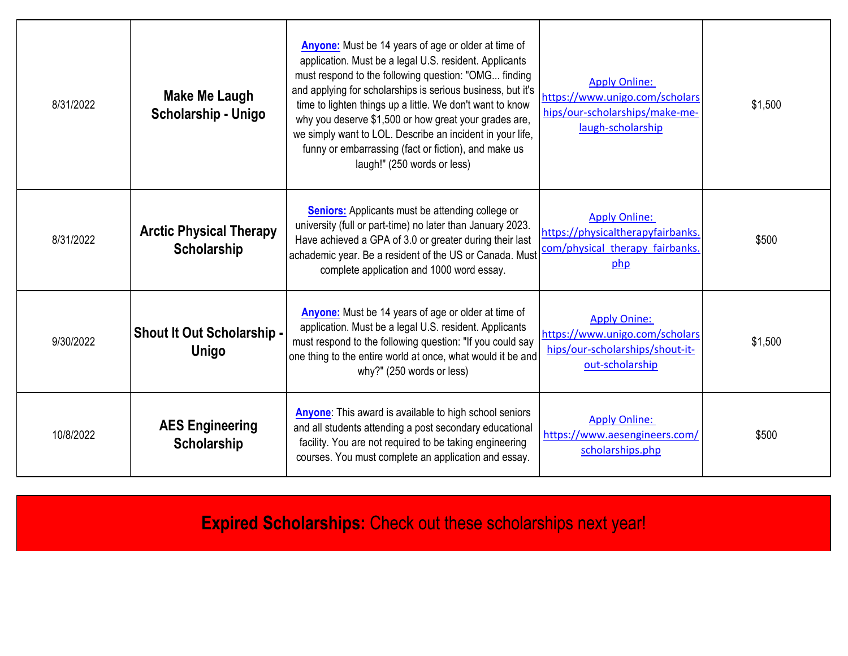| 8/31/2022 | Make Me Laugh<br>Scholarship - Unigo              | <b>Anyone:</b> Must be 14 years of age or older at time of<br>application. Must be a legal U.S. resident. Applicants<br>must respond to the following question: "OMG finding<br>and applying for scholarships is serious business, but it's<br>time to lighten things up a little. We don't want to know<br>why you deserve \$1,500 or how great your grades are,<br>we simply want to LOL. Describe an incident in your life,<br>funny or embarrassing (fact or fiction), and make us<br>laugh!" (250 words or less) | <b>Apply Online:</b><br>https://www.unigo.com/scholars<br>hips/our-scholarships/make-me-<br>laugh-scholarship | \$1,500 |
|-----------|---------------------------------------------------|-----------------------------------------------------------------------------------------------------------------------------------------------------------------------------------------------------------------------------------------------------------------------------------------------------------------------------------------------------------------------------------------------------------------------------------------------------------------------------------------------------------------------|---------------------------------------------------------------------------------------------------------------|---------|
| 8/31/2022 | <b>Arctic Physical Therapy</b><br>Scholarship     | <b>Seniors:</b> Applicants must be attending college or<br>university (full or part-time) no later than January 2023.<br>Have achieved a GPA of 3.0 or greater during their last<br>achademic year. Be a resident of the US or Canada. Must<br>complete application and 1000 word essay.                                                                                                                                                                                                                              | <b>Apply Online:</b><br>https://physicaltherapyfairbanks.<br>com/physical therapy fairbanks.<br>php           | \$500   |
| 9/30/2022 | <b>Shout It Out Scholarship -</b><br><b>Unigo</b> | Anyone: Must be 14 years of age or older at time of<br>application. Must be a legal U.S. resident. Applicants<br>must respond to the following question: "If you could say<br>one thing to the entire world at once, what would it be and<br>why?" (250 words or less)                                                                                                                                                                                                                                                | <b>Apply Onine:</b><br>https://www.unigo.com/scholars<br>hips/our-scholarships/shout-it-<br>out-scholarship   | \$1,500 |
| 10/8/2022 | <b>AES Engineering</b><br>Scholarship             | <b>Anyone:</b> This award is available to high school seniors<br>and all students attending a post secondary educational<br>facility. You are not required to be taking engineering<br>courses. You must complete an application and essay.                                                                                                                                                                                                                                                                           | <b>Apply Online:</b><br>https://www.aesengineers.com/<br>scholarships.php                                     | \$500   |

**Expired Scholarships:** Check out these scholarships next year!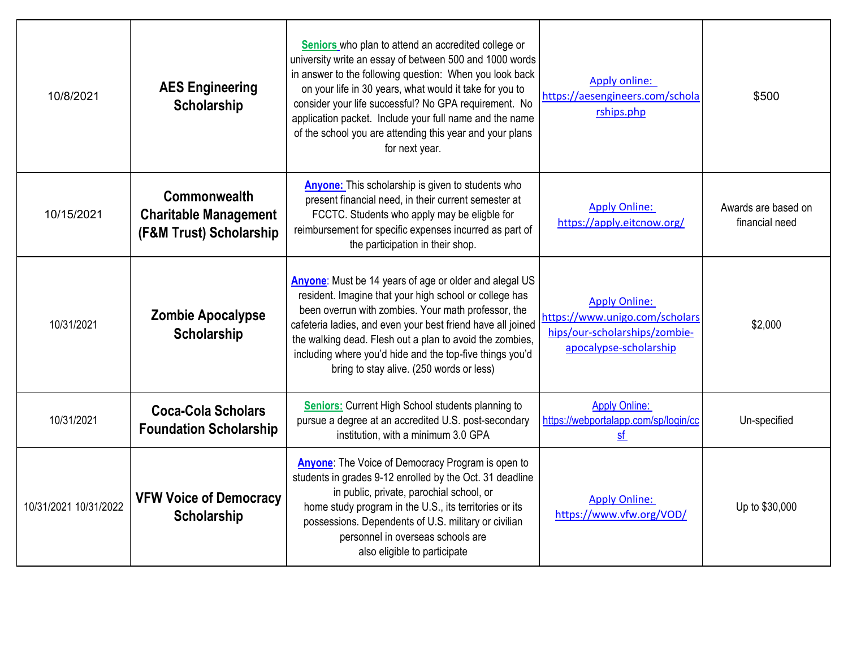| 10/8/2021             | <b>AES Engineering</b><br><b>Scholarship</b>                            | Seniors who plan to attend an accredited college or<br>university write an essay of between 500 and 1000 words<br>in answer to the following question: When you look back<br>on your life in 30 years, what would it take for you to<br>consider your life successful? No GPA requirement. No<br>application packet. Include your full name and the name<br>of the school you are attending this year and your plans<br>for next year. | Apply online:<br>https://aesengineers.com/schola<br>rships.php                                                    | \$500                                 |
|-----------------------|-------------------------------------------------------------------------|----------------------------------------------------------------------------------------------------------------------------------------------------------------------------------------------------------------------------------------------------------------------------------------------------------------------------------------------------------------------------------------------------------------------------------------|-------------------------------------------------------------------------------------------------------------------|---------------------------------------|
| 10/15/2021            | Commonwealth<br><b>Charitable Management</b><br>(F&M Trust) Scholarship | <b>Anyone:</b> This scholarship is given to students who<br>present financial need, in their current semester at<br>FCCTC. Students who apply may be eligble for<br>reimbursement for specific expenses incurred as part of<br>the participation in their shop.                                                                                                                                                                        | <b>Apply Online:</b><br>https://apply.eitcnow.org/                                                                | Awards are based on<br>financial need |
| 10/31/2021            | <b>Zombie Apocalypse</b><br>Scholarship                                 | Anyone: Must be 14 years of age or older and alegal US<br>resident. Imagine that your high school or college has<br>been overrun with zombies. Your math professor, the<br>cafeteria ladies, and even your best friend have all joined<br>the walking dead. Flesh out a plan to avoid the zombies,<br>including where you'd hide and the top-five things you'd<br>bring to stay alive. (250 words or less)                             | <b>Apply Online:</b><br>https://www.unigo.com/scholars<br>hips/our-scholarships/zombie-<br>apocalypse-scholarship | \$2,000                               |
| 10/31/2021            | <b>Coca-Cola Scholars</b><br><b>Foundation Scholarship</b>              | <b>Seniors:</b> Current High School students planning to<br>pursue a degree at an accredited U.S. post-secondary<br>institution, with a minimum 3.0 GPA                                                                                                                                                                                                                                                                                | <b>Apply Online:</b><br>https://webportalapp.com/sp/login/cc<br>sf                                                | Un-specified                          |
| 10/31/2021 10/31/2022 | <b>VFW Voice of Democracy</b><br><b>Scholarship</b>                     | <b>Anyone:</b> The Voice of Democracy Program is open to<br>students in grades 9-12 enrolled by the Oct. 31 deadline<br>in public, private, parochial school, or<br>home study program in the U.S., its territories or its<br>possessions. Dependents of U.S. military or civilian<br>personnel in overseas schools are<br>also eligible to participate                                                                                | <b>Apply Online:</b><br>https://www.vfw.org/VOD/                                                                  | Up to \$30,000                        |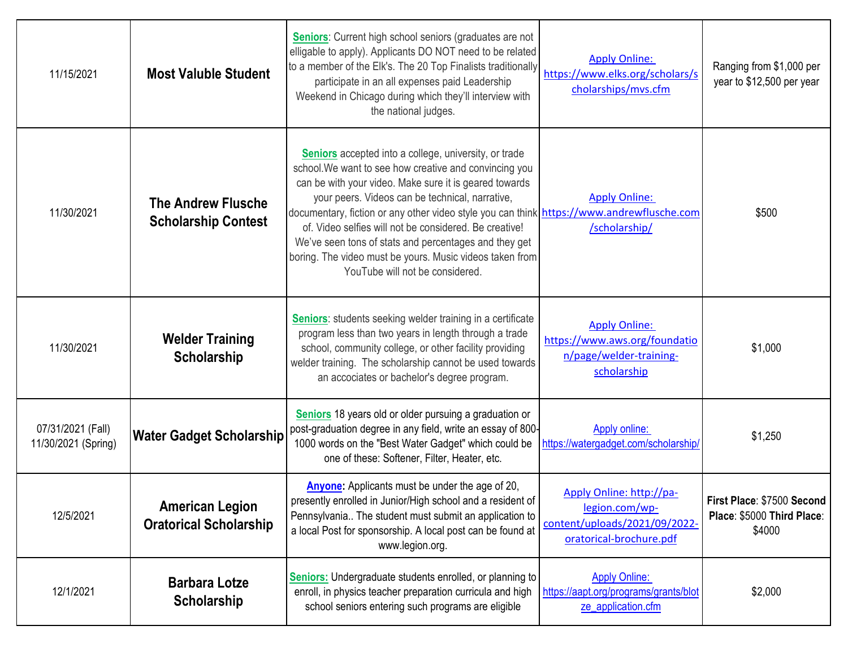| 11/15/2021                               | <b>Most Valuble Student</b>                             | Seniors: Current high school seniors (graduates are not<br>elligable to apply). Applicants DO NOT need to be related<br>to a member of the Elk's. The 20 Top Finalists traditionally<br>participate in an all expenses paid Leadership<br>Weekend in Chicago during which they'll interview with<br>the national judges.                                                                                                                                                                                                                    | <b>Apply Online:</b><br>https://www.elks.org/scholars/s<br>cholarships/mvs.cfm                         | Ranging from \$1,000 per<br>year to \$12,500 per year              |
|------------------------------------------|---------------------------------------------------------|---------------------------------------------------------------------------------------------------------------------------------------------------------------------------------------------------------------------------------------------------------------------------------------------------------------------------------------------------------------------------------------------------------------------------------------------------------------------------------------------------------------------------------------------|--------------------------------------------------------------------------------------------------------|--------------------------------------------------------------------|
| 11/30/2021                               | <b>The Andrew Flusche</b><br><b>Scholarship Contest</b> | Seniors accepted into a college, university, or trade<br>school. We want to see how creative and convincing you<br>can be with your video. Make sure it is geared towards<br>your peers. Videos can be technical, narrative,<br>documentary, fiction or any other video style you can think https://www.andrewflusche.com<br>of. Video selfies will not be considered. Be creative!<br>We've seen tons of stats and percentages and they get<br>boring. The video must be yours. Music videos taken from<br>YouTube will not be considered. | <b>Apply Online:</b><br>/scholarship/                                                                  | \$500                                                              |
| 11/30/2021                               | <b>Welder Training</b><br>Scholarship                   | Seniors: students seeking welder training in a certificate<br>program less than two years in length through a trade<br>school, community college, or other facility providing<br>welder training. The scholarship cannot be used towards<br>an accociates or bachelor's degree program.                                                                                                                                                                                                                                                     | <b>Apply Online:</b><br>https://www.aws.org/foundatio<br>n/page/welder-training-<br>scholarship        | \$1,000                                                            |
| 07/31/2021 (Fall)<br>11/30/2021 (Spring) | <b>Water Gadget Scholarship</b>                         | Seniors 18 years old or older pursuing a graduation or<br>post-graduation degree in any field, write an essay of 800-<br>1000 words on the "Best Water Gadget" which could be<br>one of these: Softener, Filter, Heater, etc.                                                                                                                                                                                                                                                                                                               | <b>Apply online:</b><br>https://watergadget.com/scholarship/                                           | \$1,250                                                            |
| 12/5/2021                                | <b>American Legion</b><br><b>Oratorical Scholarship</b> | Anyone: Applicants must be under the age of 20,<br>presently enrolled in Junior/High school and a resident of<br>Pennsylvania The student must submit an application to<br>a local Post for sponsorship. A local post can be found at<br>www.legion.org.                                                                                                                                                                                                                                                                                    | Apply Online: http://pa-<br>legion.com/wp-<br>content/uploads/2021/09/2022-<br>oratorical-brochure.pdf | First Place: \$7500 Second<br>Place: \$5000 Third Place:<br>\$4000 |
| 12/1/2021                                | <b>Barbara Lotze</b><br>Scholarship                     | <b>Seniors:</b> Undergraduate students enrolled, or planning to<br>enroll, in physics teacher preparation curricula and high<br>school seniors entering such programs are eligible                                                                                                                                                                                                                                                                                                                                                          | <b>Apply Online:</b><br>https://aapt.org/programs/grants/blot<br>ze application.cfm                    | \$2,000                                                            |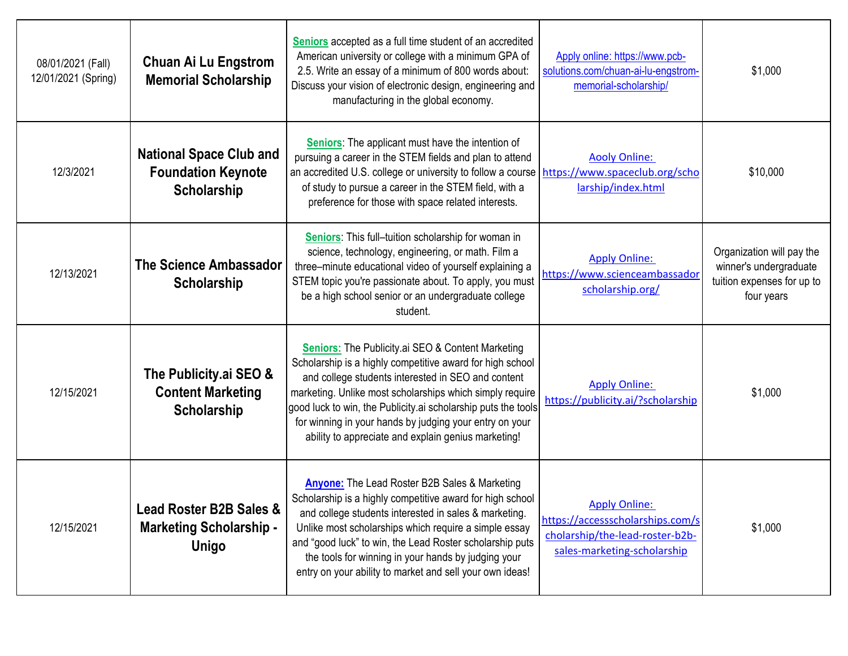| 08/01/2021 (Fall)<br>12/01/2021 (Spring) | <b>Chuan Ai Lu Engstrom</b><br><b>Memorial Scholarship</b>                           | Seniors accepted as a full time student of an accredited<br>American university or college with a minimum GPA of<br>2.5. Write an essay of a minimum of 800 words about:<br>Discuss your vision of electronic design, engineering and<br>manufacturing in the global economy.                                                                                                                                              | Apply online: https://www.pcb-<br>solutions.com/chuan-ai-lu-engstrom-<br>memorial-scholarship/                             | \$1,000                                                                                         |
|------------------------------------------|--------------------------------------------------------------------------------------|----------------------------------------------------------------------------------------------------------------------------------------------------------------------------------------------------------------------------------------------------------------------------------------------------------------------------------------------------------------------------------------------------------------------------|----------------------------------------------------------------------------------------------------------------------------|-------------------------------------------------------------------------------------------------|
| 12/3/2021                                | <b>National Space Club and</b><br><b>Foundation Keynote</b><br>Scholarship           | Seniors: The applicant must have the intention of<br>pursuing a career in the STEM fields and plan to attend<br>an accredited U.S. college or university to follow a course   https://www.spaceclub.org/scho<br>of study to pursue a career in the STEM field, with a<br>preference for those with space related interests.                                                                                                | <b>Aooly Online:</b><br>larship/index.html                                                                                 | \$10,000                                                                                        |
| 12/13/2021                               | <b>The Science Ambassador</b><br><b>Scholarship</b>                                  | Seniors: This full-tuition scholarship for woman in<br>science, technology, engineering, or math. Film a<br>three-minute educational video of yourself explaining a<br>STEM topic you're passionate about. To apply, you must<br>be a high school senior or an undergraduate college<br>student.                                                                                                                           | <b>Apply Online:</b><br>https://www.scienceambassador<br>scholarship.org/                                                  | Organization will pay the<br>winner's undergraduate<br>tuition expenses for up to<br>four years |
| 12/15/2021                               | The Publicity.ai SEO &<br><b>Content Marketing</b><br>Scholarship                    | <b>Seniors:</b> The Publicity ai SEO & Content Marketing<br>Scholarship is a highly competitive award for high school<br>and college students interested in SEO and content<br>marketing. Unlike most scholarships which simply require<br>good luck to win, the Publicity ai scholarship puts the tools<br>for winning in your hands by judging your entry on your<br>ability to appreciate and explain genius marketing! | <b>Apply Online:</b><br>https://publicity.ai/?scholarship                                                                  | \$1,000                                                                                         |
| 12/15/2021                               | <b>Lead Roster B2B Sales &amp;</b><br><b>Marketing Scholarship -</b><br><b>Unigo</b> | <b>Anyone:</b> The Lead Roster B2B Sales & Marketing<br>Scholarship is a highly competitive award for high school<br>and college students interested in sales & marketing.<br>Unlike most scholarships which require a simple essay<br>and "good luck" to win, the Lead Roster scholarship puts<br>the tools for winning in your hands by judging your<br>entry on your ability to market and sell your own ideas!         | <b>Apply Online:</b><br>https://accessscholarships.com/s<br>cholarship/the-lead-roster-b2b-<br>sales-marketing-scholarship | \$1,000                                                                                         |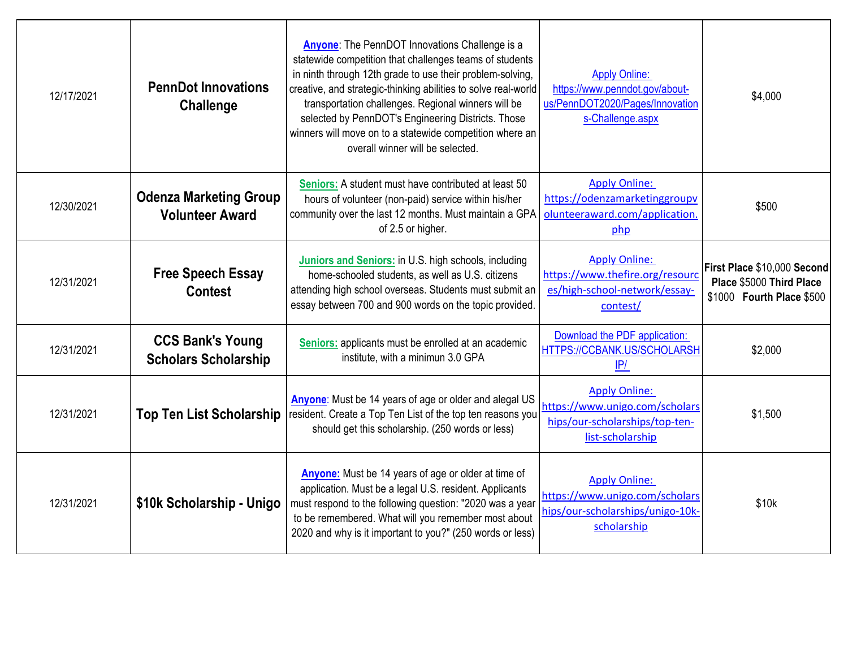| 12/17/2021 | <b>PennDot Innovations</b><br><b>Challenge</b>          | <b>Anyone:</b> The PennDOT Innovations Challenge is a<br>statewide competition that challenges teams of students<br>in ninth through 12th grade to use their problem-solving,<br>creative, and strategic-thinking abilities to solve real-world<br>transportation challenges. Regional winners will be<br>selected by PennDOT's Engineering Districts. Those<br>winners will move on to a statewide competition where an<br>overall winner will be selected. | <b>Apply Online:</b><br>https://www.penndot.gov/about-<br>us/PennDOT2020/Pages/Innovation<br>s-Challenge.aspx | \$4,000                                                                              |
|------------|---------------------------------------------------------|--------------------------------------------------------------------------------------------------------------------------------------------------------------------------------------------------------------------------------------------------------------------------------------------------------------------------------------------------------------------------------------------------------------------------------------------------------------|---------------------------------------------------------------------------------------------------------------|--------------------------------------------------------------------------------------|
| 12/30/2021 | <b>Odenza Marketing Group</b><br><b>Volunteer Award</b> | <b>Seniors:</b> A student must have contributed at least 50<br>hours of volunteer (non-paid) service within his/her<br>community over the last 12 months. Must maintain a GPA<br>of 2.5 or higher.                                                                                                                                                                                                                                                           | <b>Apply Online:</b><br>https://odenzamarketinggroupv<br>olunteeraward.com/application.<br>php                | \$500                                                                                |
| 12/31/2021 | <b>Free Speech Essay</b><br><b>Contest</b>              | Juniors and Seniors: in U.S. high schools, including<br>home-schooled students, as well as U.S. citizens<br>attending high school overseas. Students must submit an<br>essay between 700 and 900 words on the topic provided.                                                                                                                                                                                                                                | <b>Apply Online:</b><br>https://www.thefire.org/resourc<br>es/high-school-network/essay-<br>contest/          | First Place \$10,000 Second<br>Place \$5000 Third Place<br>\$1000 Fourth Place \$500 |
| 12/31/2021 | <b>CCS Bank's Young</b><br><b>Scholars Scholarship</b>  | Seniors: applicants must be enrolled at an academic<br>institute, with a minimun 3.0 GPA                                                                                                                                                                                                                                                                                                                                                                     | Download the PDF application:<br>HTTPS://CCBANK.US/SCHOLARSH<br>IP/                                           | \$2,000                                                                              |
| 12/31/2021 | <b>Top Ten List Scholarship</b>                         | Anyone: Must be 14 years of age or older and alegal US<br>resident. Create a Top Ten List of the top ten reasons you<br>should get this scholarship. (250 words or less)                                                                                                                                                                                                                                                                                     | <b>Apply Online:</b><br>https://www.unigo.com/scholars<br>hips/our-scholarships/top-ten-<br>list-scholarship  | \$1,500                                                                              |
| 12/31/2021 | \$10k Scholarship - Unigo                               | <b>Anyone:</b> Must be 14 years of age or older at time of<br>application. Must be a legal U.S. resident. Applicants<br>must respond to the following question: "2020 was a year<br>to be remembered. What will you remember most about<br>2020 and why is it important to you?" (250 words or less)                                                                                                                                                         | <b>Apply Online:</b><br>https://www.unigo.com/scholars<br>hips/our-scholarships/unigo-10k-<br>scholarship     | \$10k                                                                                |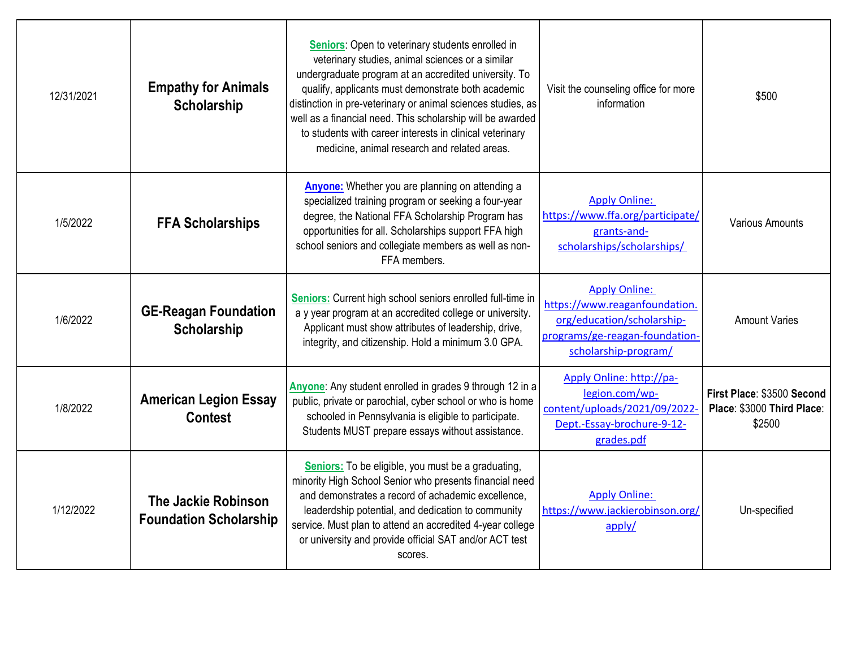| 12/31/2021 | <b>Empathy for Animals</b><br>Scholarship            | Seniors: Open to veterinary students enrolled in<br>veterinary studies, animal sciences or a similar<br>undergraduate program at an accredited university. To<br>qualify, applicants must demonstrate both academic<br>distinction in pre-veterinary or animal sciences studies, as<br>well as a financial need. This scholarship will be awarded<br>to students with career interests in clinical veterinary<br>medicine, animal research and related areas. | Visit the counseling office for more<br>information                                                                                           | \$500                                                              |
|------------|------------------------------------------------------|---------------------------------------------------------------------------------------------------------------------------------------------------------------------------------------------------------------------------------------------------------------------------------------------------------------------------------------------------------------------------------------------------------------------------------------------------------------|-----------------------------------------------------------------------------------------------------------------------------------------------|--------------------------------------------------------------------|
| 1/5/2022   | <b>FFA Scholarships</b>                              | <b>Anyone:</b> Whether you are planning on attending a<br>specialized training program or seeking a four-year<br>degree, the National FFA Scholarship Program has<br>opportunities for all. Scholarships support FFA high<br>school seniors and collegiate members as well as non-<br>FFA members.                                                                                                                                                            | <b>Apply Online:</b><br>https://www.ffa.org/participate/<br>grants-and-<br>scholarships/scholarships/                                         | <b>Various Amounts</b>                                             |
| 1/6/2022   | <b>GE-Reagan Foundation</b><br>Scholarship           | Seniors: Current high school seniors enrolled full-time in<br>a y year program at an accredited college or university.<br>Applicant must show attributes of leadership, drive,<br>integrity, and citizenship. Hold a minimum 3.0 GPA.                                                                                                                                                                                                                         | <b>Apply Online:</b><br>https://www.reaganfoundation.<br>org/education/scholarship-<br>programs/ge-reagan-foundation-<br>scholarship-program/ | <b>Amount Varies</b>                                               |
| 1/8/2022   | <b>American Legion Essay</b><br><b>Contest</b>       | Anyone: Any student enrolled in grades 9 through 12 in a<br>public, private or parochial, cyber school or who is home<br>schooled in Pennsylvania is eligible to participate.<br>Students MUST prepare essays without assistance.                                                                                                                                                                                                                             | Apply Online: http://pa-<br>legion.com/wp-<br>content/uploads/2021/09/2022<br>Dept.-Essay-brochure-9-12-<br>grades.pdf                        | First Place: \$3500 Second<br>Place: \$3000 Third Place:<br>\$2500 |
| 1/12/2022  | The Jackie Robinson<br><b>Foundation Scholarship</b> | Seniors: To be eligible, you must be a graduating,<br>minority High School Senior who presents financial need<br>and demonstrates a record of achademic excellence,<br>leaderdship potential, and dedication to community<br>service. Must plan to attend an accredited 4-year college<br>or university and provide official SAT and/or ACT test<br>scores.                                                                                                   | <b>Apply Online:</b><br>https://www.jackierobinson.org/<br>apply/                                                                             | Un-specified                                                       |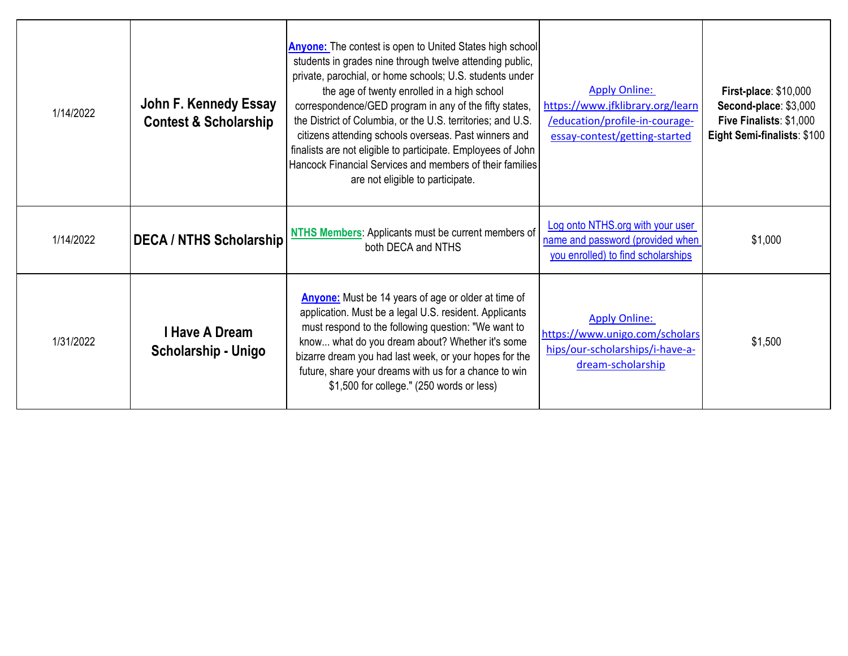| 1/14/2022 | John F. Kennedy Essay<br><b>Contest &amp; Scholarship</b> | <b>Anyone:</b> The contest is open to United States high school<br>students in grades nine through twelve attending public,<br>private, parochial, or home schools; U.S. students under<br>the age of twenty enrolled in a high school<br>correspondence/GED program in any of the fifty states,<br>the District of Columbia, or the U.S. territories; and U.S.<br>citizens attending schools overseas. Past winners and<br>finalists are not eligible to participate. Employees of John<br>Hancock Financial Services and members of their families<br>are not eligible to participate. | <b>Apply Online:</b><br>https://www.jfklibrary.org/learn<br>/education/profile-in-courage-<br>essay-contest/getting-started | First-place: \$10,000<br>Second-place: \$3,000<br>Five Finalists: \$1,000<br>Eight Semi-finalists: \$100 |
|-----------|-----------------------------------------------------------|------------------------------------------------------------------------------------------------------------------------------------------------------------------------------------------------------------------------------------------------------------------------------------------------------------------------------------------------------------------------------------------------------------------------------------------------------------------------------------------------------------------------------------------------------------------------------------------|-----------------------------------------------------------------------------------------------------------------------------|----------------------------------------------------------------------------------------------------------|
| 1/14/2022 | <b>DECA / NTHS Scholarship</b>                            | NTHS Members: Applicants must be current members of<br>both DECA and NTHS                                                                                                                                                                                                                                                                                                                                                                                                                                                                                                                | Log onto NTHS.org with your user<br>name and password (provided when<br>you enrolled) to find scholarships                  | \$1,000                                                                                                  |
| 1/31/2022 | I Have A Dream<br>Scholarship - Unigo                     | <b>Anyone:</b> Must be 14 years of age or older at time of<br>application. Must be a legal U.S. resident. Applicants<br>must respond to the following question: "We want to<br>know what do you dream about? Whether it's some<br>bizarre dream you had last week, or your hopes for the<br>future, share your dreams with us for a chance to win<br>\$1,500 for college." (250 words or less)                                                                                                                                                                                           | <b>Apply Online:</b><br>https://www.unigo.com/scholars<br>hips/our-scholarships/i-have-a-<br>dream-scholarship              | \$1,500                                                                                                  |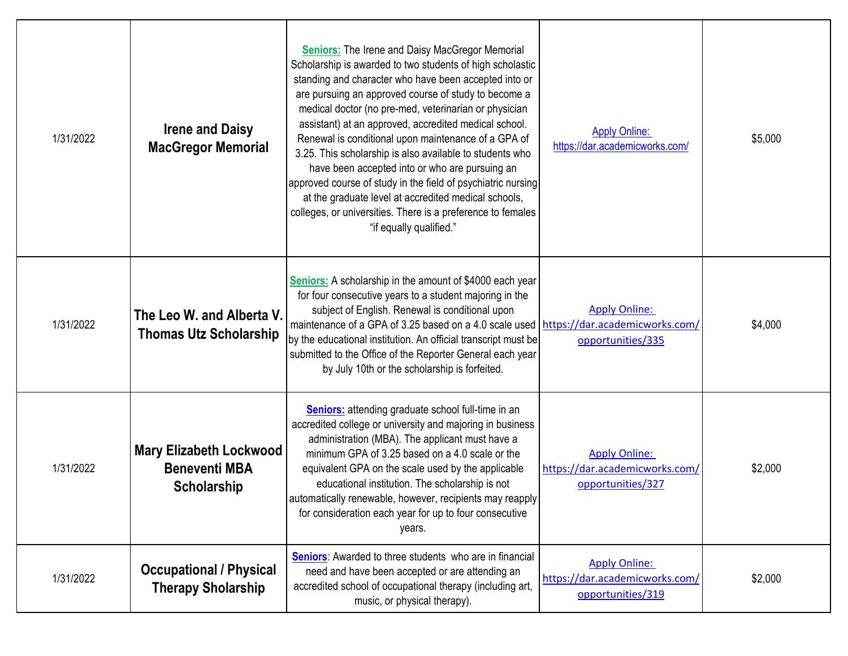| 1/31/2022 | <b>Irene and Daisy</b><br><b>MacGregor Memorial</b>            | <b>Seniors:</b> The Irene and Daisy MacGregor Memorial<br>Scholarship is awarded to two students of high scholastic<br>standing and character who have been accepted into or<br>are pursuing an approved course of study to become a<br>medical doctor (no pre-med, veterinarian or physician<br>assistant) at an approved, accredited medical school.<br>Renewal is conditional upon maintenance of a GPA of<br>3.25. This scholarship is also available to students who<br>have been accepted into or who are pursuing an<br>approved course of study in the field of psychiatric nursing<br>at the graduate level at accredited medical schools,<br>colleges, or universities. There is a preference to females<br>"if equally qualified." | <b>Apply Online:</b><br>https://dar.academicworks.com/                      | \$5,000 |
|-----------|----------------------------------------------------------------|-----------------------------------------------------------------------------------------------------------------------------------------------------------------------------------------------------------------------------------------------------------------------------------------------------------------------------------------------------------------------------------------------------------------------------------------------------------------------------------------------------------------------------------------------------------------------------------------------------------------------------------------------------------------------------------------------------------------------------------------------|-----------------------------------------------------------------------------|---------|
| 1/31/2022 | The Leo W. and Alberta V.<br><b>Thomas Utz Scholarship</b>     | <b>Seniors:</b> A scholarship in the amount of \$4000 each year<br>for four consecutive years to a student majoring in the<br>subject of English. Renewal is conditional upon<br>maintenance of a GPA of 3.25 based on a 4.0 scale used https://dar.academicworks.com/<br>by the educational institution. An official transcript must be<br>submitted to the Office of the Reporter General each year<br>by July 10th or the scholarship is forfeited.                                                                                                                                                                                                                                                                                        | <b>Apply Online:</b><br>opportunities/335                                   | \$4,000 |
| 1/31/2022 | Mary Elizabeth Lockwood<br><b>Beneventi MBA</b><br>Scholarship | <b>Seniors:</b> attending graduate school full-time in an<br>accredited college or university and majoring in business<br>administration (MBA). The applicant must have a<br>minimum GPA of 3.25 based on a 4.0 scale or the<br>equivalent GPA on the scale used by the applicable<br>educational institution. The scholarship is not<br>automatically renewable, however, recipients may reapply<br>for consideration each year for up to four consecutive<br>years.                                                                                                                                                                                                                                                                         | <b>Apply Online:</b><br>https://dar.academicworks.com/<br>opportunities/327 | \$2,000 |
| 1/31/2022 | <b>Occupational / Physical</b><br><b>Therapy Sholarship</b>    | <b>Seniors:</b> Awarded to three students who are in financial<br>need and have been accepted or are attending an<br>accredited school of occupational therapy (including art,<br>music, or physical therapy).                                                                                                                                                                                                                                                                                                                                                                                                                                                                                                                                | <b>Apply Online:</b><br>https://dar.academicworks.com/<br>opportunities/319 | \$2,000 |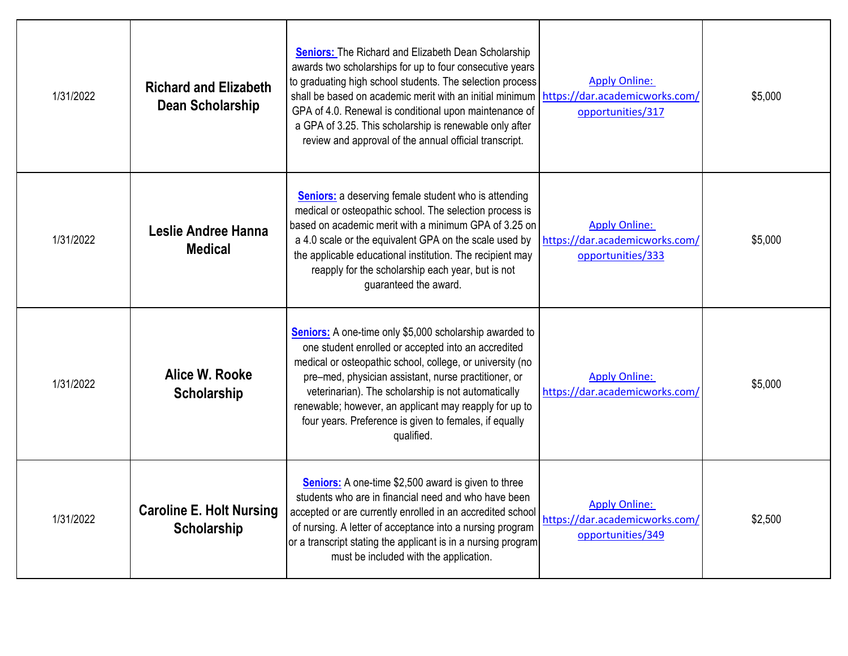| 1/31/2022 | <b>Richard and Elizabeth</b><br><b>Dean Scholarship</b> | <b>Seniors:</b> The Richard and Elizabeth Dean Scholarship<br>awards two scholarships for up to four consecutive years<br>to graduating high school students. The selection process<br>shall be based on academic merit with an initial minimum<br>GPA of 4.0. Renewal is conditional upon maintenance of<br>a GPA of 3.25. This scholarship is renewable only after<br>review and approval of the annual official transcript. | <b>Apply Online:</b><br>https://dar.academicworks.com/<br>opportunities/317 | \$5,000 |
|-----------|---------------------------------------------------------|--------------------------------------------------------------------------------------------------------------------------------------------------------------------------------------------------------------------------------------------------------------------------------------------------------------------------------------------------------------------------------------------------------------------------------|-----------------------------------------------------------------------------|---------|
| 1/31/2022 | Leslie Andree Hanna<br><b>Medical</b>                   | <b>Seniors:</b> a deserving female student who is attending<br>medical or osteopathic school. The selection process is<br>based on academic merit with a minimum GPA of 3.25 on<br>a 4.0 scale or the equivalent GPA on the scale used by<br>the applicable educational institution. The recipient may<br>reapply for the scholarship each year, but is not<br>guaranteed the award.                                           | <b>Apply Online:</b><br>https://dar.academicworks.com/<br>opportunities/333 | \$5,000 |
| 1/31/2022 | Alice W. Rooke<br><b>Scholarship</b>                    | Seniors: A one-time only \$5,000 scholarship awarded to<br>one student enrolled or accepted into an accredited<br>medical or osteopathic school, college, or university (no<br>pre-med, physician assistant, nurse practitioner, or<br>veterinarian). The scholarship is not automatically<br>renewable; however, an applicant may reapply for up to<br>four years. Preference is given to females, if equally<br>qualified.   | <b>Apply Online:</b><br>https://dar.academicworks.com/                      | \$5,000 |
| 1/31/2022 | <b>Caroline E. Holt Nursing</b><br><b>Scholarship</b>   | <b>Seniors:</b> A one-time \$2,500 award is given to three<br>students who are in financial need and who have been<br>accepted or are currently enrolled in an accredited school<br>of nursing. A letter of acceptance into a nursing program<br>or a transcript stating the applicant is in a nursing program<br>must be included with the application.                                                                       | <b>Apply Online:</b><br>https://dar.academicworks.com/<br>opportunities/349 | \$2,500 |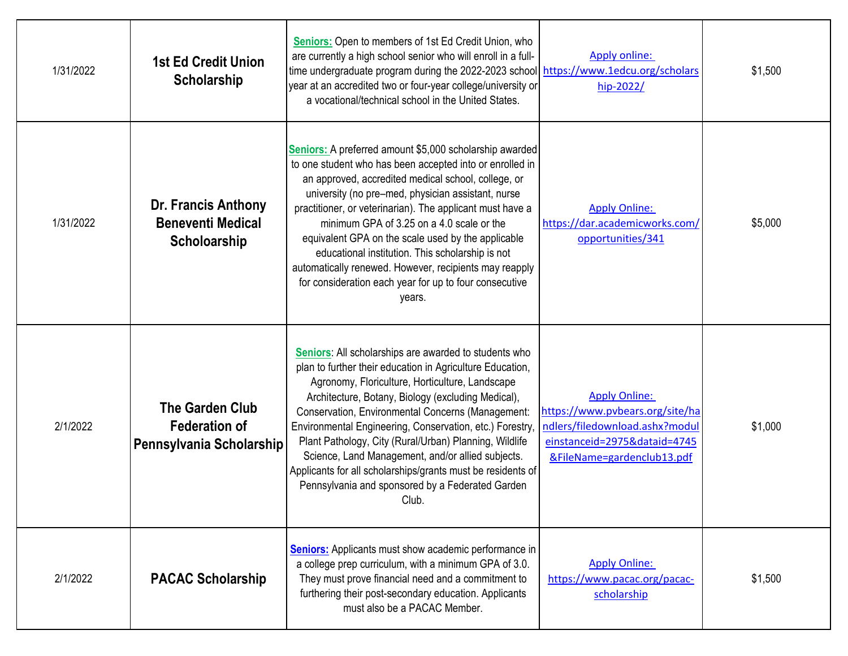| 1/31/2022 | 1st Ed Credit Union<br>Scholarship                                         | <b>Seniors:</b> Open to members of 1st Ed Credit Union, who<br>are currently a high school senior who will enroll in a full-<br>time undergraduate program during the 2022-2023 school https://www.1edcu.org/scholars<br>year at an accredited two or four-year college/university or<br>a vocational/technical school in the United States.                                                                                                                                                                                                                                            | <b>Apply online:</b><br>hip-2022/                                                                                                                       | \$1,500 |
|-----------|----------------------------------------------------------------------------|-----------------------------------------------------------------------------------------------------------------------------------------------------------------------------------------------------------------------------------------------------------------------------------------------------------------------------------------------------------------------------------------------------------------------------------------------------------------------------------------------------------------------------------------------------------------------------------------|---------------------------------------------------------------------------------------------------------------------------------------------------------|---------|
| 1/31/2022 | <b>Dr. Francis Anthony</b><br><b>Beneventi Medical</b><br>Scholoarship     | Seniors: A preferred amount \$5,000 scholarship awarded<br>to one student who has been accepted into or enrolled in<br>an approved, accredited medical school, college, or<br>university (no pre-med, physician assistant, nurse<br>practitioner, or veterinarian). The applicant must have a<br>minimum GPA of 3.25 on a 4.0 scale or the<br>equivalent GPA on the scale used by the applicable<br>educational institution. This scholarship is not<br>automatically renewed. However, recipients may reapply<br>for consideration each year for up to four consecutive<br>years.      | <b>Apply Online:</b><br>https://dar.academicworks.com/<br>opportunities/341                                                                             | \$5,000 |
| 2/1/2022  | <b>The Garden Club</b><br><b>Federation of</b><br>Pennsylvania Scholarship | Seniors: All scholarships are awarded to students who<br>plan to further their education in Agriculture Education,<br>Agronomy, Floriculture, Horticulture, Landscape<br>Architecture, Botany, Biology (excluding Medical),<br>Conservation, Environmental Concerns (Management:<br>Environmental Engineering, Conservation, etc.) Forestry,<br>Plant Pathology, City (Rural/Urban) Planning, Wildlife<br>Science, Land Management, and/or allied subjects.<br>Applicants for all scholarships/grants must be residents of<br>Pennsylvania and sponsored by a Federated Garden<br>Club. | <b>Apply Online:</b><br>https://www.pvbears.org/site/ha<br>ndlers/filedownload.ashx?modul<br>einstanceid=2975&dataid=4745<br>&FileName=gardenclub13.pdf | \$1,000 |
| 2/1/2022  | <b>PACAC Scholarship</b>                                                   | <b>Seniors:</b> Applicants must show academic performance in<br>a college prep curriculum, with a minimum GPA of 3.0.<br>They must prove financial need and a commitment to<br>furthering their post-secondary education. Applicants<br>must also be a PACAC Member.                                                                                                                                                                                                                                                                                                                    | <b>Apply Online:</b><br>https://www.pacac.org/pacac-<br>scholarship                                                                                     | \$1,500 |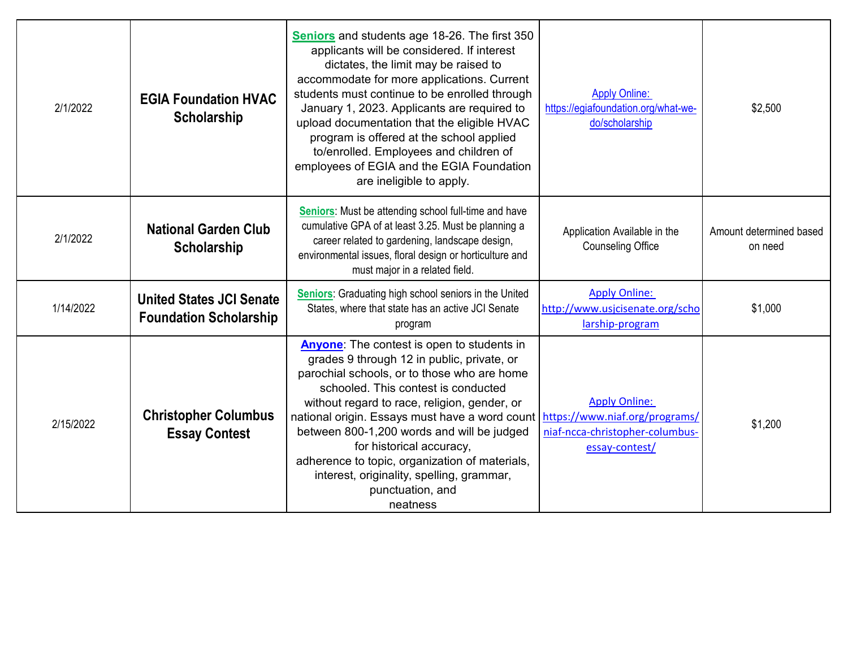| 2/1/2022  | <b>EGIA Foundation HVAC</b><br><b>Scholarship</b>                | Seniors and students age 18-26. The first 350<br>applicants will be considered. If interest<br>dictates, the limit may be raised to<br>accommodate for more applications. Current<br>students must continue to be enrolled through<br>January 1, 2023. Applicants are required to<br>upload documentation that the eligible HVAC<br>program is offered at the school applied<br>to/enrolled. Employees and children of<br>employees of EGIA and the EGIA Foundation<br>are ineligible to apply.                            | <b>Apply Online:</b><br>https://egiafoundation.org/what-we-<br>do/scholarship | \$2,500                            |
|-----------|------------------------------------------------------------------|----------------------------------------------------------------------------------------------------------------------------------------------------------------------------------------------------------------------------------------------------------------------------------------------------------------------------------------------------------------------------------------------------------------------------------------------------------------------------------------------------------------------------|-------------------------------------------------------------------------------|------------------------------------|
| 2/1/2022  | <b>National Garden Club</b><br><b>Scholarship</b>                | Seniors: Must be attending school full-time and have<br>cumulative GPA of at least 3.25. Must be planning a<br>career related to gardening, landscape design,<br>environmental issues, floral design or horticulture and<br>must major in a related field.                                                                                                                                                                                                                                                                 | Application Available in the<br><b>Counseling Office</b>                      | Amount determined based<br>on need |
| 1/14/2022 | <b>United States JCI Senate</b><br><b>Foundation Scholarship</b> | Seniors: Graduating high school seniors in the United<br>States, where that state has an active JCI Senate<br>program                                                                                                                                                                                                                                                                                                                                                                                                      | <b>Apply Online:</b><br>http://www.usjcisenate.org/scho<br>larship-program    | \$1,000                            |
| 2/15/2022 | <b>Christopher Columbus</b><br><b>Essay Contest</b>              | Anyone: The contest is open to students in<br>grades 9 through 12 in public, private, or<br>parochial schools, or to those who are home<br>schooled. This contest is conducted<br>without regard to race, religion, gender, or<br>national origin. Essays must have a word count   https://www.niaf.org/programs/<br>between 800-1,200 words and will be judged<br>for historical accuracy,<br>adherence to topic, organization of materials,<br>interest, originality, spelling, grammar,<br>punctuation, and<br>neatness | <b>Apply Online:</b><br>niaf-ncca-christopher-columbus-<br>essay-contest/     | \$1,200                            |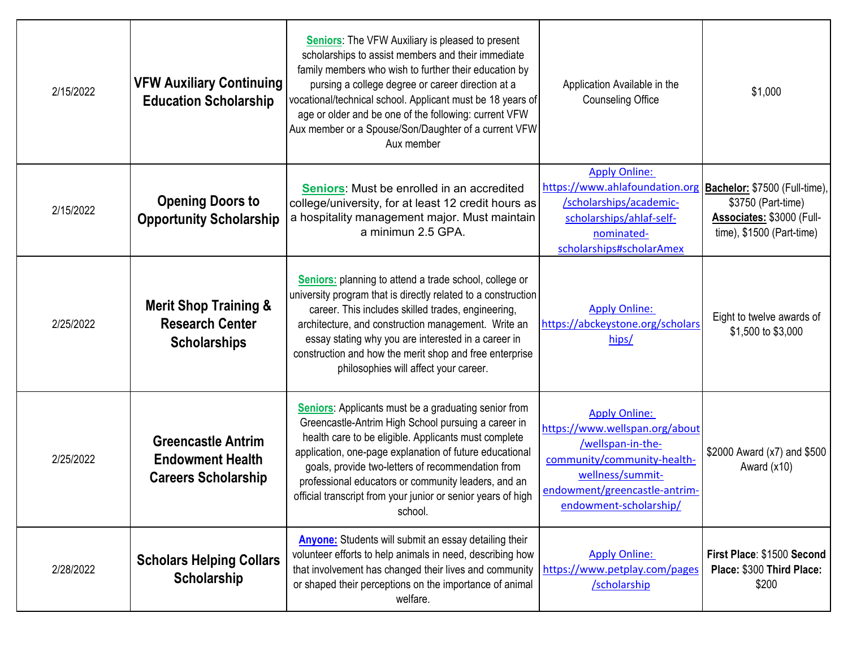| 2/15/2022 | <b>VFW Auxiliary Continuing</b><br><b>Education Scholarship</b>                    | <b>Seniors:</b> The VFW Auxiliary is pleased to present<br>scholarships to assist members and their immediate<br>family members who wish to further their education by<br>pursing a college degree or career direction at a<br>vocational/technical school. Applicant must be 18 years of<br>age or older and be one of the following: current VFW<br>Aux member or a Spouse/Son/Daughter of a current VFW<br>Aux member     | Application Available in the<br><b>Counseling Office</b>                                                                                                                                  | \$1,000                                                                         |
|-----------|------------------------------------------------------------------------------------|------------------------------------------------------------------------------------------------------------------------------------------------------------------------------------------------------------------------------------------------------------------------------------------------------------------------------------------------------------------------------------------------------------------------------|-------------------------------------------------------------------------------------------------------------------------------------------------------------------------------------------|---------------------------------------------------------------------------------|
| 2/15/2022 | <b>Opening Doors to</b><br><b>Opportunity Scholarship</b>                          | Seniors: Must be enrolled in an accredited<br>college/university, for at least 12 credit hours as<br>a hospitality management major. Must maintain<br>a minimun 2.5 GPA.                                                                                                                                                                                                                                                     | <b>Apply Online:</b><br>https://www.ahlafoundation.org   Bachelor: \$7500 (Full-time),<br>/scholarships/academic-<br>scholarships/ahlaf-self-<br>nominated-<br>scholarships#scholarAmex   | \$3750 (Part-time)<br>Associates: \$3000 (Full-<br>$time)$ , \$1500 (Part-time) |
| 2/25/2022 | <b>Merit Shop Training &amp;</b><br><b>Research Center</b><br><b>Scholarships</b>  | Seniors: planning to attend a trade school, college or<br>university program that is directly related to a construction<br>career. This includes skilled trades, engineering,<br>architecture, and construction management. Write an<br>essay stating why you are interested in a career in<br>construction and how the merit shop and free enterprise<br>philosophies will affect your career.                              | <b>Apply Online:</b><br>https://abckeystone.org/scholars<br>hips/                                                                                                                         | Eight to twelve awards of<br>\$1,500 to \$3,000                                 |
| 2/25/2022 | <b>Greencastle Antrim</b><br><b>Endowment Health</b><br><b>Careers Scholarship</b> | <b>Seniors:</b> Applicants must be a graduating senior from<br>Greencastle-Antrim High School pursuing a career in<br>health care to be eligible. Applicants must complete<br>application, one-page explanation of future educational<br>goals, provide two-letters of recommendation from<br>professional educators or community leaders, and an<br>official transcript from your junior or senior years of high<br>school. | <b>Apply Online:</b><br>https://www.wellspan.org/about<br>/wellspan-in-the-<br>community/community-health-<br>wellness/summit-<br>endowment/greencastle-antrim-<br>endowment-scholarship/ | \$2000 Award (x7) and \$500<br>Award $(x10)$                                    |
| 2/28/2022 | <b>Scholars Helping Collars</b><br>Scholarship                                     | <b>Anyone:</b> Students will submit an essay detailing their<br>volunteer efforts to help animals in need, describing how<br>that involvement has changed their lives and community<br>or shaped their perceptions on the importance of animal<br>welfare.                                                                                                                                                                   | <b>Apply Online:</b><br>https://www.petplay.com/pages<br>/scholarship                                                                                                                     | First Place: \$1500 Second<br>Place: \$300 Third Place:<br>\$200                |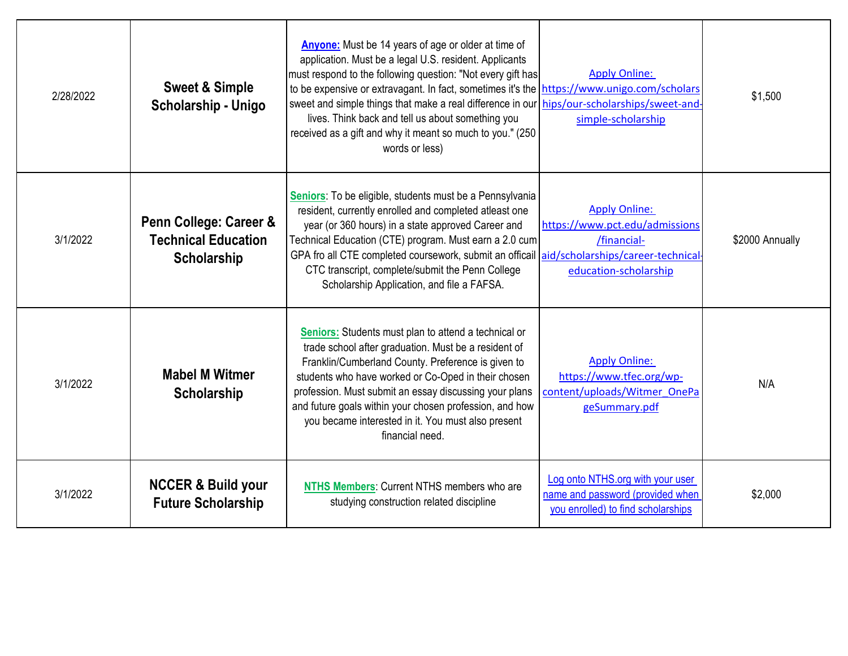| 2/28/2022 | <b>Sweet &amp; Simple</b><br>Scholarship - Unigo                    | <b>Anyone:</b> Must be 14 years of age or older at time of<br>application. Must be a legal U.S. resident. Applicants<br>must respond to the following question: "Not every gift has<br>to be expensive or extravagant. In fact, sometimes it's the  https://www.unigo.com/scholars<br>sweet and simple things that make a real difference in our<br>lives. Think back and tell us about something you<br>received as a gift and why it meant so much to you." (250<br>words or less) | <b>Apply Online:</b><br>hips/our-scholarships/sweet-and-<br>simple-scholarship                             | \$1,500         |
|-----------|---------------------------------------------------------------------|--------------------------------------------------------------------------------------------------------------------------------------------------------------------------------------------------------------------------------------------------------------------------------------------------------------------------------------------------------------------------------------------------------------------------------------------------------------------------------------|------------------------------------------------------------------------------------------------------------|-----------------|
| 3/1/2022  | Penn College: Career &<br><b>Technical Education</b><br>Scholarship | Seniors: To be eligible, students must be a Pennsylvania<br>resident, currently enrolled and completed atleast one<br>year (or 360 hours) in a state approved Career and<br>Technical Education (CTE) program. Must earn a 2.0 cum<br>GPA fro all CTE completed coursework, submit an officail aid/scholarships/career-technical<br>CTC transcript, complete/submit the Penn College<br>Scholarship Application, and file a FAFSA.                                                   | <b>Apply Online:</b><br>https://www.pct.edu/admissions<br>/financial-<br>education-scholarship             | \$2000 Annually |
| 3/1/2022  | <b>Mabel M Witmer</b><br>Scholarship                                | <b>Seniors:</b> Students must plan to attend a technical or<br>trade school after graduation. Must be a resident of<br>Franklin/Cumberland County. Preference is given to<br>students who have worked or Co-Oped in their chosen<br>profession. Must submit an essay discussing your plans<br>and future goals within your chosen profession, and how<br>you became interested in it. You must also present<br>financial need.                                                       | <b>Apply Online:</b><br>https://www.tfec.org/wp-<br>content/uploads/Witmer OnePa<br>geSummary.pdf          | N/A             |
| 3/1/2022  | <b>NCCER &amp; Build your</b><br><b>Future Scholarship</b>          | NTHS Members: Current NTHS members who are<br>studying construction related discipline                                                                                                                                                                                                                                                                                                                                                                                               | Log onto NTHS.org with your user<br>name and password (provided when<br>you enrolled) to find scholarships | \$2,000         |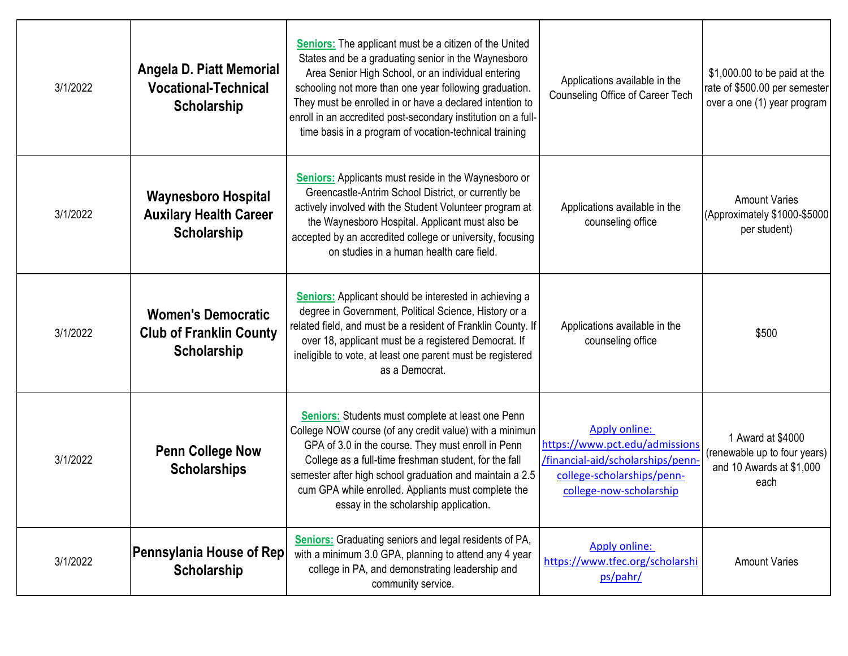| 3/1/2022 | Angela D. Piatt Memorial<br><b>Vocational-Technical</b><br>Scholarship     | <b>Seniors:</b> The applicant must be a citizen of the United<br>States and be a graduating senior in the Waynesboro<br>Area Senior High School, or an individual entering<br>schooling not more than one year following graduation.<br>They must be enrolled in or have a declared intention to<br>enroll in an accredited post-secondary institution on a full-<br>time basis in a program of vocation-technical training | Applications available in the<br>Counseling Office of Career Tech                                                                                   | \$1,000.00 to be paid at the<br>rate of \$500.00 per semester<br>over a one (1) year program |
|----------|----------------------------------------------------------------------------|-----------------------------------------------------------------------------------------------------------------------------------------------------------------------------------------------------------------------------------------------------------------------------------------------------------------------------------------------------------------------------------------------------------------------------|-----------------------------------------------------------------------------------------------------------------------------------------------------|----------------------------------------------------------------------------------------------|
| 3/1/2022 | <b>Waynesboro Hospital</b><br><b>Auxilary Health Career</b><br>Scholarship | <b>Seniors:</b> Applicants must reside in the Waynesboro or<br>Greencastle-Antrim School District, or currently be<br>actively involved with the Student Volunteer program at<br>the Waynesboro Hospital. Applicant must also be<br>accepted by an accredited college or university, focusing<br>on studies in a human health care field.                                                                                   | Applications available in the<br>counseling office                                                                                                  | <b>Amount Varies</b><br>(Approximately \$1000-\$5000<br>per student)                         |
| 3/1/2022 | <b>Women's Democratic</b><br><b>Club of Franklin County</b><br>Scholarship | <b>Seniors:</b> Applicant should be interested in achieving a<br>degree in Government, Political Science, History or a<br>related field, and must be a resident of Franklin County. If<br>over 18, applicant must be a registered Democrat. If<br>ineligible to vote, at least one parent must be registered<br>as a Democrat.                                                                                              | Applications available in the<br>counseling office                                                                                                  | \$500                                                                                        |
| 3/1/2022 | <b>Penn College Now</b><br><b>Scholarships</b>                             | <b>Seniors:</b> Students must complete at least one Penn<br>College NOW course (of any credit value) with a minimun<br>GPA of 3.0 in the course. They must enroll in Penn<br>College as a full-time freshman student, for the fall<br>semester after high school graduation and maintain a 2.5<br>cum GPA while enrolled. Appliants must complete the<br>essay in the scholarship application.                              | <b>Apply online:</b><br>https://www.pct.edu/admissions<br>/financial-aid/scholarships/penn<br>college-scholarships/penn-<br>college-now-scholarship | 1 Award at \$4000<br>(renewable up to four years)<br>and 10 Awards at \$1,000<br>each        |
| 3/1/2022 | Pennsylania House of Rep<br>Scholarship                                    | <b>Seniors:</b> Graduating seniors and legal residents of PA,<br>with a minimum 3.0 GPA, planning to attend any 4 year<br>college in PA, and demonstrating leadership and<br>community service.                                                                                                                                                                                                                             | Apply online:<br>https://www.tfec.org/scholarshi<br>ps/pahr/                                                                                        | <b>Amount Varies</b>                                                                         |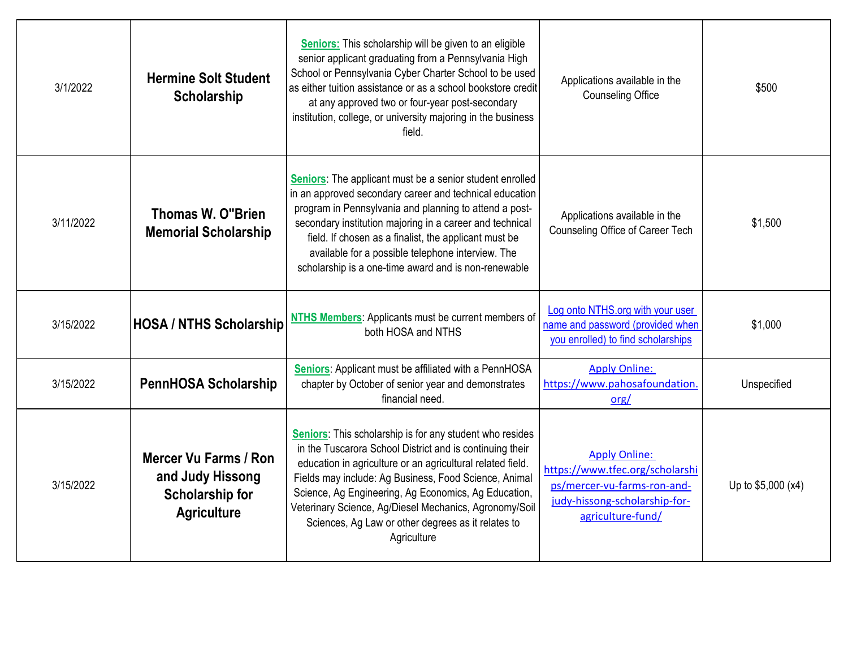| 3/1/2022  | <b>Hermine Solt Student</b><br>Scholarship                                                       | Seniors: This scholarship will be given to an eligible<br>senior applicant graduating from a Pennsylvania High<br>School or Pennsylvania Cyber Charter School to be used<br>as either tuition assistance or as a school bookstore credit<br>at any approved two or four-year post-secondary<br>institution, college, or university majoring in the business<br>field.                                                              | Applications available in the<br><b>Counseling Office</b>                                                                                    | \$500              |
|-----------|--------------------------------------------------------------------------------------------------|------------------------------------------------------------------------------------------------------------------------------------------------------------------------------------------------------------------------------------------------------------------------------------------------------------------------------------------------------------------------------------------------------------------------------------|----------------------------------------------------------------------------------------------------------------------------------------------|--------------------|
| 3/11/2022 | <b>Thomas W. O"Brien</b><br><b>Memorial Scholarship</b>                                          | Seniors: The applicant must be a senior student enrolled<br>in an approved secondary career and technical education<br>program in Pennsylvania and planning to attend a post-<br>secondary institution majoring in a career and technical<br>field. If chosen as a finalist, the applicant must be<br>available for a possible telephone interview. The<br>scholarship is a one-time award and is non-renewable                    | Applications available in the<br>Counseling Office of Career Tech                                                                            | \$1,500            |
| 3/15/2022 | <b>HOSA / NTHS Scholarship</b>                                                                   | NTHS Members: Applicants must be current members of<br>both HOSA and NTHS                                                                                                                                                                                                                                                                                                                                                          | Log onto NTHS.org with your user<br>name and password (provided when<br>you enrolled) to find scholarships                                   | \$1,000            |
| 3/15/2022 | <b>PennHOSA Scholarship</b>                                                                      | Seniors: Applicant must be affiliated with a PennHOSA<br>chapter by October of senior year and demonstrates<br>financial need.                                                                                                                                                                                                                                                                                                     | <b>Apply Online:</b><br>https://www.pahosafoundation.<br>org/                                                                                | Unspecified        |
| 3/15/2022 | <b>Mercer Vu Farms / Ron</b><br>and Judy Hissong<br><b>Scholarship for</b><br><b>Agriculture</b> | Seniors: This scholarship is for any student who resides<br>in the Tuscarora School District and is continuing their<br>education in agriculture or an agricultural related field.<br>Fields may include: Ag Business, Food Science, Animal<br>Science, Ag Engineering, Ag Economics, Ag Education,<br>Veterinary Science, Ag/Diesel Mechanics, Agronomy/Soil<br>Sciences, Ag Law or other degrees as it relates to<br>Agriculture | <b>Apply Online:</b><br>https://www.tfec.org/scholarshi<br>ps/mercer-vu-farms-ron-and-<br>judy-hissong-scholarship-for-<br>agriculture-fund/ | Up to \$5,000 (x4) |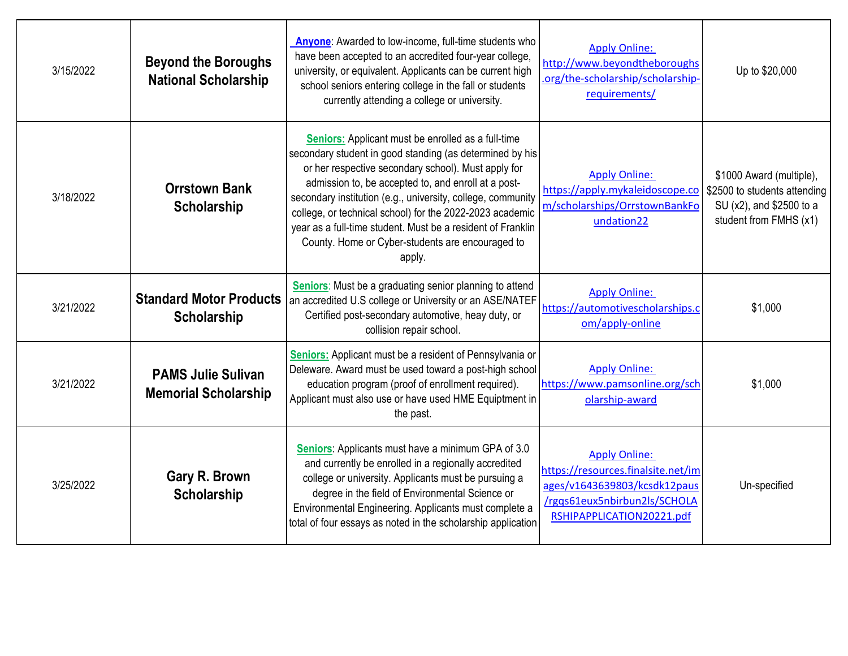| 3/15/2022 | <b>Beyond the Boroughs</b><br><b>National Scholarship</b> | Anyone: Awarded to low-income, full-time students who<br>have been accepted to an accredited four-year college,<br>university, or equivalent. Applicants can be current high<br>school seniors entering college in the fall or students<br>currently attending a college or university.                                                                                                                                                                                              | <b>Apply Online:</b><br>http://www.beyondtheboroughs<br>.org/the-scholarship/scholarship-<br>requirements/                                              | Up to \$20,000                                                                                                 |
|-----------|-----------------------------------------------------------|--------------------------------------------------------------------------------------------------------------------------------------------------------------------------------------------------------------------------------------------------------------------------------------------------------------------------------------------------------------------------------------------------------------------------------------------------------------------------------------|---------------------------------------------------------------------------------------------------------------------------------------------------------|----------------------------------------------------------------------------------------------------------------|
| 3/18/2022 | <b>Orrstown Bank</b><br>Scholarship                       | Seniors: Applicant must be enrolled as a full-time<br>secondary student in good standing (as determined by his<br>or her respective secondary school). Must apply for<br>admission to, be accepted to, and enroll at a post-<br>secondary institution (e.g., university, college, community<br>college, or technical school) for the 2022-2023 academic<br>year as a full-time student. Must be a resident of Franklin<br>County. Home or Cyber-students are encouraged to<br>apply. | <b>Apply Online:</b><br>https://apply.mykaleidoscope.co<br>m/scholarships/OrrstownBankFo<br>undation22                                                  | \$1000 Award (multiple),<br>\$2500 to students attending<br>SU (x2), and \$2500 to a<br>student from FMHS (x1) |
| 3/21/2022 | <b>Standard Motor Products</b><br><b>Scholarship</b>      | Seniors: Must be a graduating senior planning to attend<br>an accredited U.S college or University or an ASE/NATEF<br>Certified post-secondary automotive, heay duty, or<br>collision repair school.                                                                                                                                                                                                                                                                                 | <b>Apply Online:</b><br>https://automotivescholarships.c<br>om/apply-online                                                                             | \$1,000                                                                                                        |
| 3/21/2022 | <b>PAMS Julie Sulivan</b><br><b>Memorial Scholarship</b>  | Seniors: Applicant must be a resident of Pennsylvania or<br>Deleware. Award must be used toward a post-high school<br>education program (proof of enrollment required).<br>Applicant must also use or have used HME Equiptment in<br>the past.                                                                                                                                                                                                                                       | <b>Apply Online:</b><br>https://www.pamsonline.org/sch<br>olarship-award                                                                                | \$1,000                                                                                                        |
| 3/25/2022 | Gary R. Brown<br>Scholarship                              | Seniors: Applicants must have a minimum GPA of 3.0<br>and currently be enrolled in a regionally accredited<br>college or university. Applicants must be pursuing a<br>degree in the field of Environmental Science or<br>Environmental Engineering. Applicants must complete a<br>total of four essays as noted in the scholarship application                                                                                                                                       | <b>Apply Online:</b><br>https://resources.finalsite.net/im<br>ages/v1643639803/kcsdk12paus<br>/rgqs61eux5nbirbun2ls/SCHOLA<br>RSHIPAPPLICATION20221.pdf | Un-specified                                                                                                   |